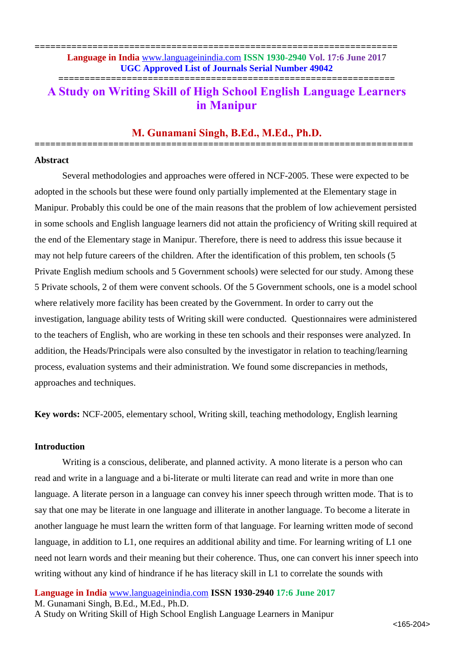**===================================================================== Language in India** [www.languageinindia.com](http://www.languageinindia.com/) **ISSN 1930-2940 Vol. 17:6 June 201**7 **UGC Approved List of Journals Serial Number 49042**

**================================================================**

# **A Study on Writing Skill of High School English Language Learners in Manipur**

# **M. Gunamani Singh, B.Ed., M.Ed., Ph.D. ========================================================================**

#### **Abstract**

Several methodologies and approaches were offered in NCF-2005. These were expected to be adopted in the schools but these were found only partially implemented at the Elementary stage in Manipur. Probably this could be one of the main reasons that the problem of low achievement persisted in some schools and English language learners did not attain the proficiency of Writing skill required at the end of the Elementary stage in Manipur. Therefore, there is need to address this issue because it may not help future careers of the children. After the identification of this problem, ten schools (5 Private English medium schools and 5 Government schools) were selected for our study. Among these 5 Private schools, 2 of them were convent schools. Of the 5 Government schools, one is a model school where relatively more facility has been created by the Government. In order to carry out the investigation, language ability tests of Writing skill were conducted. Questionnaires were administered to the teachers of English, who are working in these ten schools and their responses were analyzed. In addition, the Heads/Principals were also consulted by the investigator in relation to teaching/learning process, evaluation systems and their administration. We found some discrepancies in methods, approaches and techniques.

**Key words:** NCF-2005, elementary school, Writing skill, teaching methodology, English learning

#### **Introduction**

Writing is a conscious, deliberate, and planned activity. A mono literate is a person who can read and write in a language and a bi-literate or multi literate can read and write in more than one language. A literate person in a language can convey his inner speech through written mode. That is to say that one may be literate in one language and illiterate in another language. To become a literate in another language he must learn the written form of that language. For learning written mode of second language, in addition to L1, one requires an additional ability and time. For learning writing of L1 one need not learn words and their meaning but their coherence. Thus, one can convert his inner speech into writing without any kind of hindrance if he has literacy skill in L1 to correlate the sounds with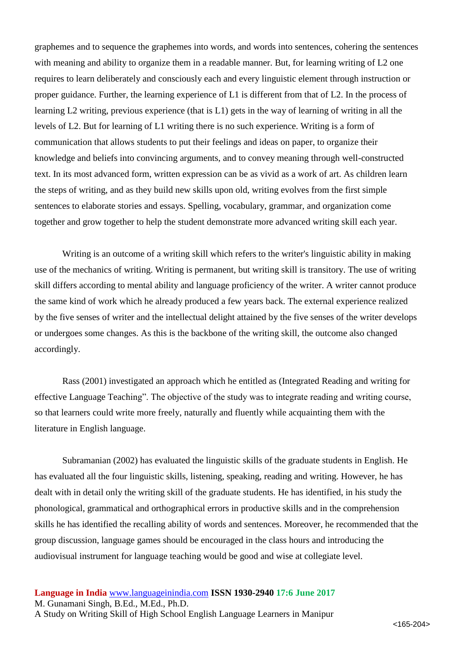graphemes and to sequence the graphemes into words, and words into sentences, cohering the sentences with meaning and ability to organize them in a readable manner. But, for learning writing of L2 one requires to learn deliberately and consciously each and every linguistic element through instruction or proper guidance. Further, the learning experience of L1 is different from that of L2. In the process of learning L2 writing, previous experience (that is L1) gets in the way of learning of writing in all the levels of L2. But for learning of L1 writing there is no such experience. Writing is a form of communication that allows students to put their feelings and ideas on paper, to organize their knowledge and beliefs into convincing arguments, and to convey meaning through well-constructed text. In its most advanced form, written expression can be as vivid as a work of art. As children learn the steps of writing, and as they build new skills upon old, writing evolves from the first simple sentences to elaborate stories and essays. Spelling, vocabulary, grammar, and organization come together and grow together to help the student demonstrate more advanced writing skill each year.

Writing is an outcome of a writing skill which refers to the writer's linguistic ability in making use of the mechanics of writing. Writing is permanent, but writing skill is transitory. The use of writing skill differs according to mental ability and language proficiency of the writer. A writer cannot produce the same kind of work which he already produced a few years back. The external experience realized by the five senses of writer and the intellectual delight attained by the five senses of the writer develops or undergoes some changes. As this is the backbone of the writing skill, the outcome also changed accordingly.

Rass (2001) investigated an approach which he entitled as (Integrated Reading and writing for effective Language Teaching". The objective of the study was to integrate reading and writing course, so that learners could write more freely, naturally and fluently while acquainting them with the literature in English language.

Subramanian (2002) has evaluated the linguistic skills of the graduate students in English. He has evaluated all the four linguistic skills, listening, speaking, reading and writing. However, he has dealt with in detail only the writing skill of the graduate students. He has identified, in his study the phonological, grammatical and orthographical errors in productive skills and in the comprehension skills he has identified the recalling ability of words and sentences. Moreover, he recommended that the group discussion, language games should be encouraged in the class hours and introducing the audiovisual instrument for language teaching would be good and wise at collegiate level.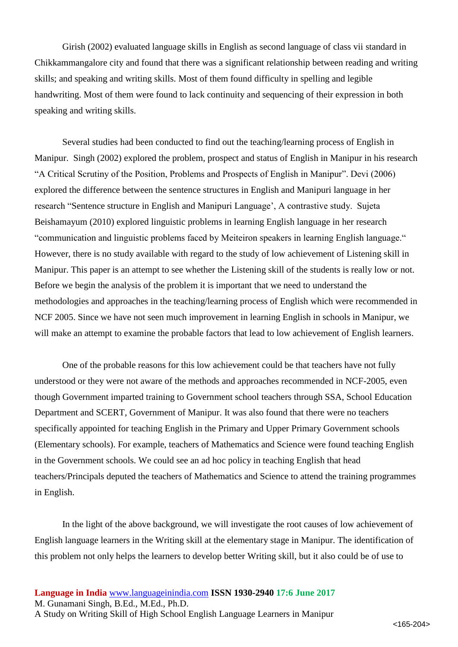Girish (2002) evaluated language skills in English as second language of class vii standard in Chikkammangalore city and found that there was a significant relationship between reading and writing skills; and speaking and writing skills. Most of them found difficulty in spelling and legible handwriting. Most of them were found to lack continuity and sequencing of their expression in both speaking and writing skills.

Several studies had been conducted to find out the teaching/learning process of English in Manipur. Singh (2002) explored the problem, prospect and status of English in Manipur in his research "A Critical Scrutiny of the Position, Problems and Prospects of English in Manipur". Devi (2006) explored the difference between the sentence structures in English and Manipuri language in her research "Sentence structure in English and Manipuri Language', A contrastive study. Sujeta Beishamayum (2010) explored linguistic problems in learning English language in her research "communication and linguistic problems faced by Meiteiron speakers in learning English language." However, there is no study available with regard to the study of low achievement of Listening skill in Manipur. This paper is an attempt to see whether the Listening skill of the students is really low or not. Before we begin the analysis of the problem it is important that we need to understand the methodologies and approaches in the teaching/learning process of English which were recommended in NCF 2005. Since we have not seen much improvement in learning English in schools in Manipur, we will make an attempt to examine the probable factors that lead to low achievement of English learners.

One of the probable reasons for this low achievement could be that teachers have not fully understood or they were not aware of the methods and approaches recommended in NCF-2005, even though Government imparted training to Government school teachers through SSA, School Education Department and SCERT, Government of Manipur. It was also found that there were no teachers specifically appointed for teaching English in the Primary and Upper Primary Government schools (Elementary schools). For example, teachers of Mathematics and Science were found teaching English in the Government schools. We could see an ad hoc policy in teaching English that head teachers/Principals deputed the teachers of Mathematics and Science to attend the training programmes in English.

In the light of the above background, we will investigate the root causes of low achievement of English language learners in the Writing skill at the elementary stage in Manipur. The identification of this problem not only helps the learners to develop better Writing skill, but it also could be of use to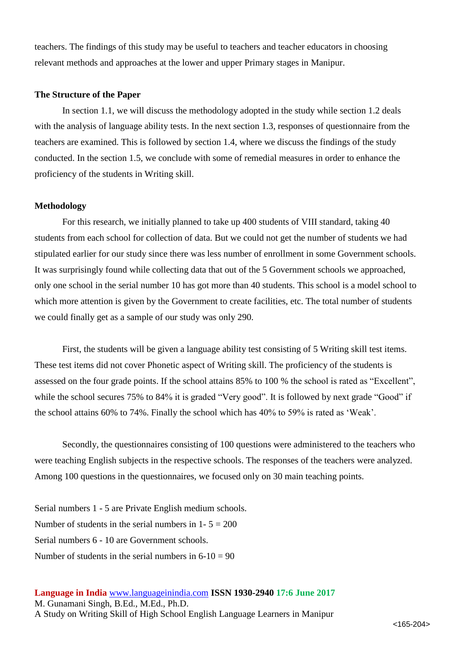teachers. The findings of this study may be useful to teachers and teacher educators in choosing relevant methods and approaches at the lower and upper Primary stages in Manipur.

#### **The Structure of the Paper**

In section 1.1, we will discuss the methodology adopted in the study while section 1.2 deals with the analysis of language ability tests. In the next section 1.3, responses of questionnaire from the teachers are examined. This is followed by section 1.4, where we discuss the findings of the study conducted. In the section 1.5, we conclude with some of remedial measures in order to enhance the proficiency of the students in Writing skill.

#### **Methodology**

For this research, we initially planned to take up 400 students of VIII standard, taking 40 students from each school for collection of data. But we could not get the number of students we had stipulated earlier for our study since there was less number of enrollment in some Government schools. It was surprisingly found while collecting data that out of the 5 Government schools we approached, only one school in the serial number 10 has got more than 40 students. This school is a model school to which more attention is given by the Government to create facilities, etc. The total number of students we could finally get as a sample of our study was only 290.

First, the students will be given a language ability test consisting of 5 Writing skill test items. These test items did not cover Phonetic aspect of Writing skill. The proficiency of the students is assessed on the four grade points. If the school attains 85% to 100 % the school is rated as "Excellent", while the school secures 75% to 84% it is graded "Very good". It is followed by next grade "Good" if the school attains 60% to 74%. Finally the school which has 40% to 59% is rated as 'Weak'.

Secondly, the questionnaires consisting of 100 questions were administered to the teachers who were teaching English subjects in the respective schools. The responses of the teachers were analyzed. Among 100 questions in the questionnaires, we focused only on 30 main teaching points.

Serial numbers 1 - 5 are Private English medium schools. Number of students in the serial numbers in  $1 - 5 = 200$ Serial numbers 6 - 10 are Government schools. Number of students in the serial numbers in  $6-10 = 90$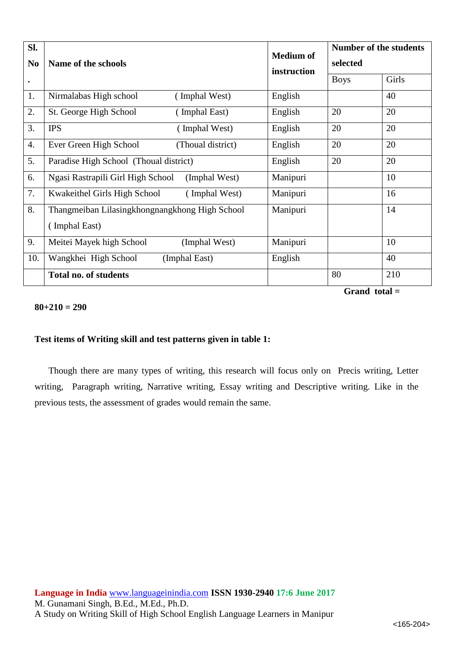| SI.            |                                                    |                                 | <b>Number of the students</b> |       |
|----------------|----------------------------------------------------|---------------------------------|-------------------------------|-------|
| N <sub>0</sub> | Name of the schools                                | <b>Medium of</b><br>instruction | selected                      |       |
| $\bullet$      |                                                    |                                 | <b>Boys</b>                   | Girls |
| 1.             | Nirmalabas High school<br>(Imphal West)            | English                         |                               | 40    |
| 2.             | St. George High School<br>(Imphal East)            | English                         | 20                            | 20    |
| 3.             | <b>IPS</b><br>(Imphal West)                        | English                         | 20                            | 20    |
| 4.             | Ever Green High School<br>(Thoual district)        | English                         | 20                            | 20    |
| 5.             | Paradise High School (Thoual district)             | English                         | 20                            | 20    |
| 6.             | Ngasi Rastrapili Girl High School<br>(Imphal West) | Manipuri                        |                               | 10    |
| 7.             | Kwakeithel Girls High School<br>(Imphal West)      | Manipuri                        |                               | 16    |
| 8.             | Thangmeiban Lilasingkhongnangkhong High School     | Manipuri                        |                               | 14    |
|                | (Imphal East)                                      |                                 |                               |       |
| 9.             | Meitei Mayek high School<br>(Imphal West)          | Manipuri                        |                               | 10    |
| 10.            | Wangkhei High School<br>(Imphal East)              | English                         |                               | 40    |
|                | <b>Total no. of students</b>                       |                                 | 80                            | 210   |

**Grand total =** 

### **80+210 = 290**

#### **Test items of Writing skill and test patterns given in table 1:**

Though there are many types of writing, this research will focus only on Precis writing, Letter writing, Paragraph writing, Narrative writing, Essay writing and Descriptive writing. Like in the previous tests, the assessment of grades would remain the same.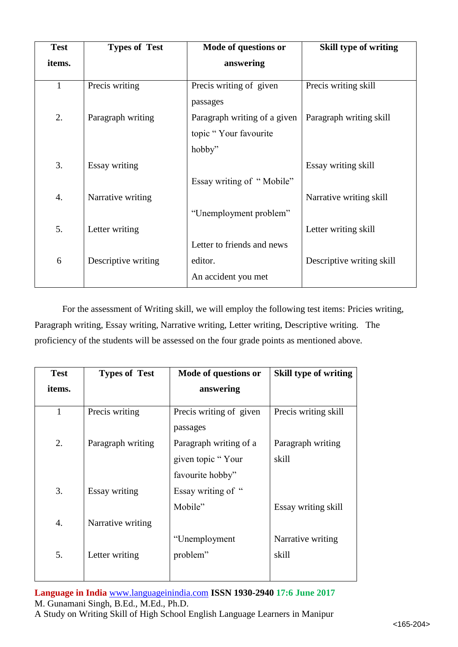| <b>Test</b>  | <b>Types of Test</b> | Mode of questions or         | <b>Skill type of writing</b> |
|--------------|----------------------|------------------------------|------------------------------|
| items.       |                      | answering                    |                              |
|              |                      |                              |                              |
| $\mathbf{1}$ | Precis writing       | Precis writing of given      | Precis writing skill         |
|              |                      | passages                     |                              |
| 2.           | Paragraph writing    | Paragraph writing of a given | Paragraph writing skill      |
|              |                      | topic "Your favourite"       |                              |
|              |                      | hobby"                       |                              |
| 3.           | Essay writing        |                              | Essay writing skill          |
|              |                      | Essay writing of "Mobile"    |                              |
| 4.           | Narrative writing    |                              | Narrative writing skill      |
|              |                      | "Unemployment problem"       |                              |
| 5.           | Letter writing       |                              | Letter writing skill         |
|              |                      | Letter to friends and news   |                              |
| 6            | Descriptive writing  | editor.                      | Descriptive writing skill    |
|              |                      | An accident you met          |                              |

For the assessment of Writing skill, we will employ the following test items: Pricies writing, Paragraph writing, Essay writing, Narrative writing, Letter writing, Descriptive writing. The proficiency of the students will be assessed on the four grade points as mentioned above.

| <b>Test</b> | <b>Types of Test</b> | Mode of questions or                        | <b>Skill type of writing</b> |
|-------------|----------------------|---------------------------------------------|------------------------------|
| items.      |                      | answering                                   |                              |
| 1           | Precis writing       | Precis writing of given<br>passages         | Precis writing skill         |
| 2.          | Paragraph writing    | Paragraph writing of a<br>given topic "Your | Paragraph writing<br>skill   |
|             |                      | favourite hobby"                            |                              |
| 3.          | Essay writing        | Essay writing of "<br>Mobile"               | Essay writing skill          |
| 4.          | Narrative writing    |                                             |                              |
| 5.          | Letter writing       | "Unemployment<br>problem"                   | Narrative writing<br>skill   |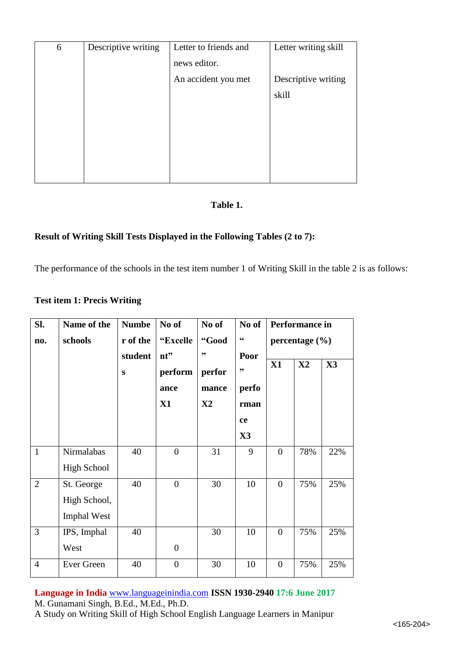| 6 | Descriptive writing | Letter to friends and | Letter writing skill |
|---|---------------------|-----------------------|----------------------|
|   |                     | news editor.          |                      |
|   |                     | An accident you met   | Descriptive writing  |
|   |                     |                       | skill                |
|   |                     |                       |                      |
|   |                     |                       |                      |
|   |                     |                       |                      |
|   |                     |                       |                      |
|   |                     |                       |                      |

# **Table 1.**

# **Result of Writing Skill Tests Displayed in the Following Tables (2 to 7):**

The performance of the schools in the test item number 1 of Writing Skill in the table 2 is as follows:

# **Test item 1: Precis Writing**

| SI.            | Name of the        | <b>Numbe</b> | No of            | No of         | No of                  |                | Performance in     |     |
|----------------|--------------------|--------------|------------------|---------------|------------------------|----------------|--------------------|-----|
| no.            | schools            | r of the     | "Excelle         | "Good         | $\textsf{G}\textsf{G}$ |                | percentage $(\% )$ |     |
|                |                    | student      | nt"              | ,,            | Poor                   | X1             | $\mathbf{X2}$      | X3  |
|                |                    | ${\bf S}$    | perform          | perfor        | ,,                     |                |                    |     |
|                |                    |              | ance             | mance         | perfo                  |                |                    |     |
|                |                    |              | X1               | $\mathbf{X}2$ | rman                   |                |                    |     |
|                |                    |              |                  |               | ce                     |                |                    |     |
|                |                    |              |                  |               | X3                     |                |                    |     |
| $\mathbf{1}$   | Nirmalabas         | 40           | $\overline{0}$   | 31            | 9                      | $\overline{0}$ | 78%                | 22% |
|                | <b>High School</b> |              |                  |               |                        |                |                    |     |
| $\overline{2}$ | St. George         | 40           | $\overline{0}$   | 30            | 10                     | $\overline{0}$ | 75%                | 25% |
|                | High School,       |              |                  |               |                        |                |                    |     |
|                | <b>Imphal West</b> |              |                  |               |                        |                |                    |     |
| 3              | IPS, Imphal        | 40           |                  | 30            | 10                     | $\overline{0}$ | 75%                | 25% |
|                | West               |              | $\theta$         |               |                        |                |                    |     |
| $\overline{4}$ | Ever Green         | 40           | $\boldsymbol{0}$ | 30            | 10                     | $\overline{0}$ | 75%                | 25% |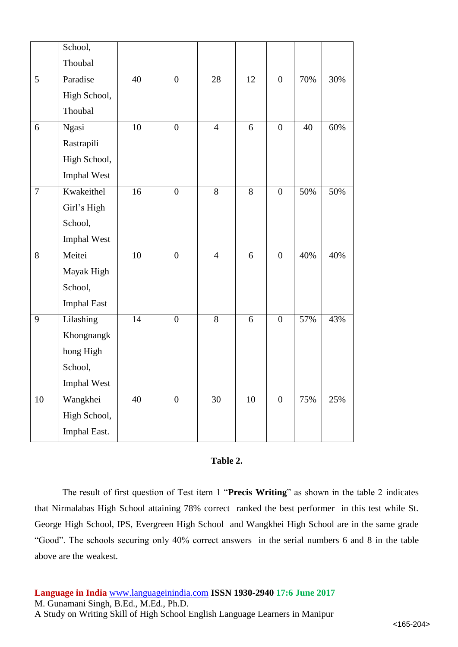|        | School,            |    |                  |                |    |                  |     |     |
|--------|--------------------|----|------------------|----------------|----|------------------|-----|-----|
|        | Thoubal            |    |                  |                |    |                  |     |     |
| 5      | Paradise           | 40 | $\boldsymbol{0}$ | 28             | 12 | $\overline{0}$   | 70% | 30% |
|        | High School,       |    |                  |                |    |                  |     |     |
|        | Thoubal            |    |                  |                |    |                  |     |     |
| 6      | Ngasi              | 10 | $\boldsymbol{0}$ | $\overline{4}$ | 6  | $\mathbf{0}$     | 40  | 60% |
|        | Rastrapili         |    |                  |                |    |                  |     |     |
|        | High School,       |    |                  |                |    |                  |     |     |
|        | Imphal West        |    |                  |                |    |                  |     |     |
| $\tau$ | Kwakeithel         | 16 | $\boldsymbol{0}$ | 8              | 8  | $\overline{0}$   | 50% | 50% |
|        | Girl's High        |    |                  |                |    |                  |     |     |
|        | School,            |    |                  |                |    |                  |     |     |
|        | Imphal West        |    |                  |                |    |                  |     |     |
| 8      | Meitei             | 10 | $\boldsymbol{0}$ | $\overline{4}$ | 6  | $\boldsymbol{0}$ | 40% | 40% |
|        | Mayak High         |    |                  |                |    |                  |     |     |
|        | School,            |    |                  |                |    |                  |     |     |
|        | <b>Imphal East</b> |    |                  |                |    |                  |     |     |
| 9      | Lilashing          | 14 | $\boldsymbol{0}$ | 8              | 6  | $\mathbf{0}$     | 57% | 43% |
|        | Khongnangk         |    |                  |                |    |                  |     |     |
|        | hong High          |    |                  |                |    |                  |     |     |
|        | School,            |    |                  |                |    |                  |     |     |
|        | Imphal West        |    |                  |                |    |                  |     |     |
| 10     | Wangkhei           | 40 | $\boldsymbol{0}$ | 30             | 10 | $\boldsymbol{0}$ | 75% | 25% |
|        | High School,       |    |                  |                |    |                  |     |     |
|        | Imphal East.       |    |                  |                |    |                  |     |     |

### **Table 2.**

The result of first question of Test item 1 "**Precis Writing**" as shown in the table 2 indicates that Nirmalabas High School attaining 78% correct ranked the best performer in this test while St. George High School, IPS, Evergreen High School and Wangkhei High School are in the same grade "Good". The schools securing only 40% correct answers in the serial numbers 6 and 8 in the table above are the weakest.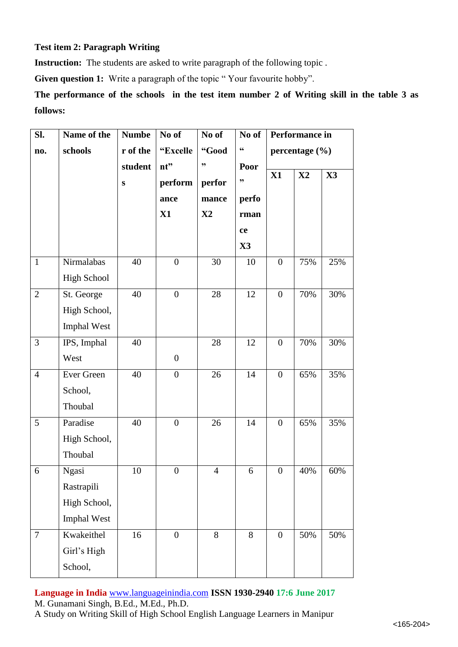# **Test item 2: Paragraph Writing**

**Instruction:** The students are asked to write paragraph of the following topic.

Given question 1: Write a paragraph of the topic "Your favourite hobby".

**The performance of the schools in the test item number 2 of Writing skill in the table 3 as follows:**

| SI.            | Name of the        | <b>Numbe</b> | No of            | No of         | No of                     |                  | Performance in     |                |
|----------------|--------------------|--------------|------------------|---------------|---------------------------|------------------|--------------------|----------------|
| no.            | schools            | r of the     | "Excelle         | "Good         | $\textsf{G}\textsf{G}$    |                  | percentage $(\% )$ |                |
|                |                    | student      | nt"              | ,,            | Poor                      |                  |                    |                |
|                |                    | ${\bf S}$    | perform          | perfor        | $\boldsymbol{\mathsf{y}}$ | X1               | $\mathbf{X}2$      | $\mathbf{X}$ 3 |
|                |                    |              | ance             | mance         | perfo                     |                  |                    |                |
|                |                    |              | X1               | $\mathbf{X}2$ | rman                      |                  |                    |                |
|                |                    |              |                  |               | ce                        |                  |                    |                |
|                |                    |              |                  |               | $\mathbf{X}3$             |                  |                    |                |
| $\mathbf{1}$   | Nirmalabas         | 40           | $\boldsymbol{0}$ | 30            | 10                        | $\boldsymbol{0}$ | 75%                | 25%            |
|                | <b>High School</b> |              |                  |               |                           |                  |                    |                |
| $\overline{2}$ | St. George         | 40           | $\boldsymbol{0}$ | 28            | 12                        | $\overline{0}$   | 70%                | 30%            |
|                | High School,       |              |                  |               |                           |                  |                    |                |
|                | <b>Imphal West</b> |              |                  |               |                           |                  |                    |                |
| 3              | IPS, Imphal        | 40           |                  | 28            | 12                        | $\overline{0}$   | 70%                | 30%            |
|                | West               |              | $\boldsymbol{0}$ |               |                           |                  |                    |                |
| $\overline{4}$ | Ever Green         | 40           | $\boldsymbol{0}$ | 26            | 14                        | $\boldsymbol{0}$ | 65%                | 35%            |
|                | School,            |              |                  |               |                           |                  |                    |                |
|                | Thoubal            |              |                  |               |                           |                  |                    |                |
| 5              | Paradise           | 40           | $\boldsymbol{0}$ | 26            | 14                        | $\overline{0}$   | 65%                | 35%            |
|                | High School,       |              |                  |               |                           |                  |                    |                |
|                | Thoubal            |              |                  |               |                           |                  |                    |                |
| 6              | Ngasi              | 10           | $\boldsymbol{0}$ | 4             | 6                         | $\boldsymbol{0}$ | 40%                | $60\%$         |
|                | Rastrapili         |              |                  |               |                           |                  |                    |                |
|                | High School,       |              |                  |               |                           |                  |                    |                |
|                | Imphal West        |              |                  |               |                           |                  |                    |                |
| $\tau$         | Kwakeithel         | 16           | $\mathbf{0}$     | 8             | 8                         | $\overline{0}$   | 50%                | 50%            |
|                | Girl's High        |              |                  |               |                           |                  |                    |                |
|                | School,            |              |                  |               |                           |                  |                    |                |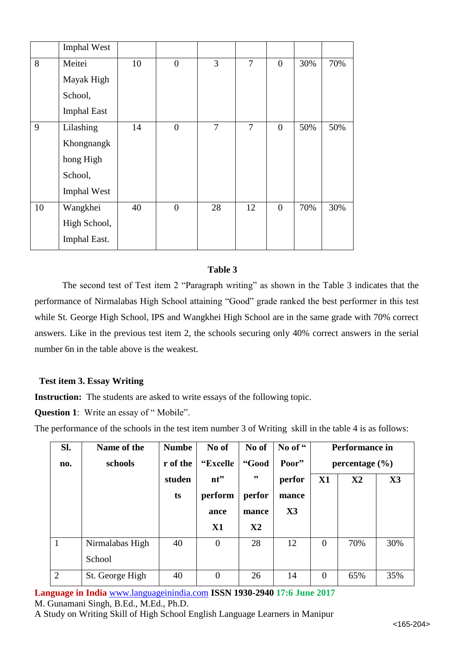|    | <b>Imphal West</b> |    |                |                |    |                  |     |     |
|----|--------------------|----|----------------|----------------|----|------------------|-----|-----|
| 8  | Meitei             | 10 | $\overline{0}$ | 3              | 7  | $\overline{0}$   | 30% | 70% |
|    | Mayak High         |    |                |                |    |                  |     |     |
|    | School,            |    |                |                |    |                  |     |     |
|    | <b>Imphal East</b> |    |                |                |    |                  |     |     |
| 9  | Lilashing          | 14 | $\overline{0}$ | $\overline{7}$ | 7  | $\boldsymbol{0}$ | 50% | 50% |
|    | Khongnangk         |    |                |                |    |                  |     |     |
|    | hong High          |    |                |                |    |                  |     |     |
|    | School,            |    |                |                |    |                  |     |     |
|    | <b>Imphal West</b> |    |                |                |    |                  |     |     |
| 10 | Wangkhei           | 40 | $\overline{0}$ | 28             | 12 | $\mathbf{0}$     | 70% | 30% |
|    | High School,       |    |                |                |    |                  |     |     |
|    | Imphal East.       |    |                |                |    |                  |     |     |

### **Table 3**

The second test of Test item 2 "Paragraph writing" as shown in the Table 3 indicates that the performance of Nirmalabas High School attaining "Good" grade ranked the best performer in this test while St. George High School, IPS and Wangkhei High School are in the same grade with 70% correct answers. Like in the previous test item 2, the schools securing only 40% correct answers in the serial number 6n in the table above is the weakest.

### **Test item 3. Essay Writing**

**Instruction:** The students are asked to write essays of the following topic.

**Question 1**: Write an essay of " Mobile".

The performance of the schools in the test item number 3 of Writing skill in the table 4 is as follows:

| SI.            | Name of the     | <b>Numbe</b> | No of          | No of  | No of "        |                | Performance in     |                |
|----------------|-----------------|--------------|----------------|--------|----------------|----------------|--------------------|----------------|
| no.            | schools         | r of the     | "Excelle       | "Good  | Poor"          |                | percentage $(\% )$ |                |
|                |                 | studen       | nt"            | , 9    | perfor         | X1             | $\mathbf{X}2$      | $\mathbf{X}$ 3 |
|                |                 | ts           | perform        | perfor | mance          |                |                    |                |
|                |                 |              | ance           | mance  | $\mathbf{X}$ 3 |                |                    |                |
|                |                 |              | X1             | X2     |                |                |                    |                |
| $\mathbf{1}$   | Nirmalabas High | 40           | $\overline{0}$ | 28     | 12             | $\overline{0}$ | 70%                | 30%            |
|                | School          |              |                |        |                |                |                    |                |
| $\overline{2}$ | St. George High | 40           | $\overline{0}$ | 26     | 14             | $\theta$       | 65%                | 35%            |

**Language in India** [www.languageinindia.com](http://www.languageinindia.com/) **ISSN 1930-2940 17:6 June 2017** M. Gunamani Singh, B.Ed., M.Ed., Ph.D.

A Study on Writing Skill of High School English Language Learners in Manipur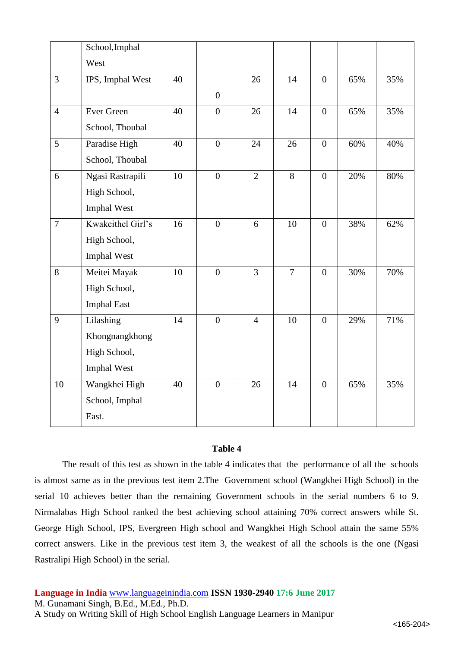|                | School, Imphal     |    |                  |                |                |                  |        |     |
|----------------|--------------------|----|------------------|----------------|----------------|------------------|--------|-----|
|                | West               |    |                  |                |                |                  |        |     |
| $\overline{3}$ | IPS, Imphal West   | 40 |                  | 26             | 14             | $\overline{0}$   | 65%    | 35% |
|                |                    |    | $\boldsymbol{0}$ |                |                |                  |        |     |
| $\overline{4}$ | Ever Green         | 40 | $\overline{0}$   | 26             | 14             | $\overline{0}$   | 65%    | 35% |
|                | School, Thoubal    |    |                  |                |                |                  |        |     |
| $\overline{5}$ | Paradise High      | 40 | $\overline{0}$   | 24             | 26             | $\overline{0}$   | $60\%$ | 40% |
|                | School, Thoubal    |    |                  |                |                |                  |        |     |
| 6              | Ngasi Rastrapili   | 10 | $\overline{0}$   | $\overline{2}$ | $\overline{8}$ | $\boldsymbol{0}$ | 20%    | 80% |
|                | High School,       |    |                  |                |                |                  |        |     |
|                | Imphal West        |    |                  |                |                |                  |        |     |
| $\overline{7}$ | Kwakeithel Girl's  | 16 | $\overline{0}$   | 6              | 10             | $\overline{0}$   | 38%    | 62% |
|                | High School,       |    |                  |                |                |                  |        |     |
|                | Imphal West        |    |                  |                |                |                  |        |     |
| 8              | Meitei Mayak       | 10 | $\overline{0}$   | $\overline{3}$ | $\overline{7}$ | $\overline{0}$   | 30%    | 70% |
|                | High School,       |    |                  |                |                |                  |        |     |
|                | <b>Imphal East</b> |    |                  |                |                |                  |        |     |
| 9              | Lilashing          | 14 | $\overline{0}$   | $\overline{4}$ | 10             | $\overline{0}$   | 29%    | 71% |
|                | Khongnangkhong     |    |                  |                |                |                  |        |     |
|                | High School,       |    |                  |                |                |                  |        |     |
|                | Imphal West        |    |                  |                |                |                  |        |     |
| 10             | Wangkhei High      | 40 | $\overline{0}$   | 26             | 14             | $\overline{0}$   | 65%    | 35% |
|                | School, Imphal     |    |                  |                |                |                  |        |     |
|                | East.              |    |                  |                |                |                  |        |     |

### **Table 4**

The result of this test as shown in the table 4 indicates that the performance of all the schools is almost same as in the previous test item 2.The Government school (Wangkhei High School) in the serial 10 achieves better than the remaining Government schools in the serial numbers 6 to 9. Nirmalabas High School ranked the best achieving school attaining 70% correct answers while St. George High School, IPS, Evergreen High school and Wangkhei High School attain the same 55% correct answers. Like in the previous test item 3, the weakest of all the schools is the one (Ngasi Rastralipi High School) in the serial.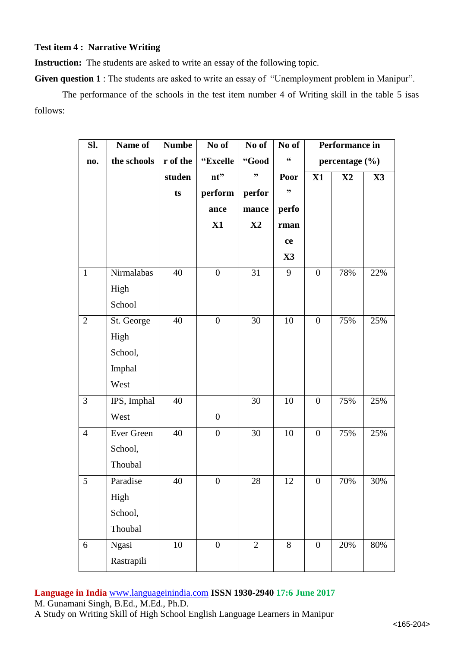**Test item 4 : Narrative Writing**

**Instruction:** The students are asked to write an essay of the following topic.

**Given question 1** : The students are asked to write an essay of "Unemployment problem in Manipur".

The performance of the schools in the test item number 4 of Writing skill in the table 5 isas follows:

| Sl.             | Name of     | <b>Numbe</b> | No of            | No of          | No of         |                  | Performance in     |               |
|-----------------|-------------|--------------|------------------|----------------|---------------|------------------|--------------------|---------------|
| no.             | the schools | r of the     | "Excelle         | "Good          | 66            |                  | percentage $(\% )$ |               |
|                 |             | studen       | nt"              | ,,             | Poor          | X1               | $\mathbf{X}2$      | $\mathbf{X}3$ |
|                 |             | ts           | perform          | perfor         | ,,            |                  |                    |               |
|                 |             |              | ance             | mance          | perfo         |                  |                    |               |
|                 |             |              | X1               | $\mathbf{X}2$  | rman          |                  |                    |               |
|                 |             |              |                  |                | ce            |                  |                    |               |
|                 |             |              |                  |                | $\mathbf{X}3$ |                  |                    |               |
| $\mathbf{1}$    | Nirmalabas  | 40           | $\boldsymbol{0}$ | 31             | 9             | $\boldsymbol{0}$ | 78%                | 22%           |
|                 | High        |              |                  |                |               |                  |                    |               |
|                 | School      |              |                  |                |               |                  |                    |               |
| $\overline{2}$  | St. George  | 40           | $\overline{0}$   | 30             | 10            | $\overline{0}$   | 75%                | 25%           |
|                 | High        |              |                  |                |               |                  |                    |               |
|                 | School,     |              |                  |                |               |                  |                    |               |
|                 | Imphal      |              |                  |                |               |                  |                    |               |
|                 | West        |              |                  |                |               |                  |                    |               |
| $\mathfrak{Z}$  | IPS, Imphal | 40           |                  | 30             | 10            | $\boldsymbol{0}$ | 75%                | 25%           |
|                 | West        |              | $\boldsymbol{0}$ |                |               |                  |                    |               |
| $\overline{4}$  | Ever Green  | 40           | $\overline{0}$   | 30             | 10            | $\boldsymbol{0}$ | 75%                | 25%           |
|                 | School,     |              |                  |                |               |                  |                    |               |
|                 | Thoubal     |              |                  |                |               |                  |                    |               |
| $5\overline{)}$ | Paradise    | 40           | $\overline{0}$   | 28             | 12            | $\boldsymbol{0}$ | 70%                | 30%           |
|                 | High        |              |                  |                |               |                  |                    |               |
|                 | School,     |              |                  |                |               |                  |                    |               |
|                 | Thoubal     |              |                  |                |               |                  |                    |               |
| 6               | Ngasi       | 10           | $\overline{0}$   | $\overline{2}$ | 8             | $\mathbf{0}$     | 20%                | 80%           |
|                 | Rastrapili  |              |                  |                |               |                  |                    |               |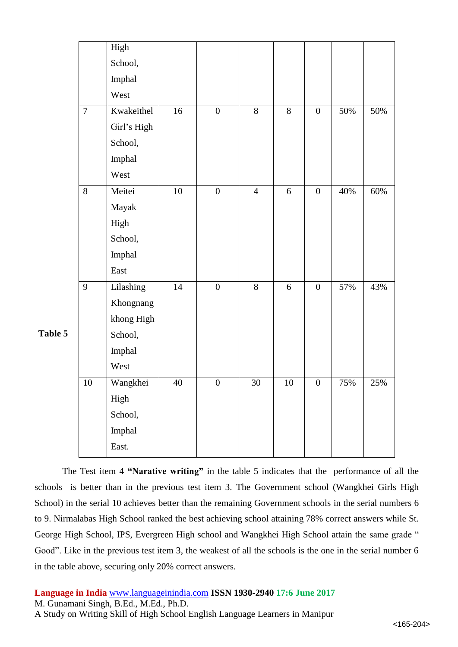|         |                | High        |                 |                  |                |                |                  |     |     |
|---------|----------------|-------------|-----------------|------------------|----------------|----------------|------------------|-----|-----|
|         |                | School,     |                 |                  |                |                |                  |     |     |
|         |                | Imphal      |                 |                  |                |                |                  |     |     |
|         |                | West        |                 |                  |                |                |                  |     |     |
|         | $\overline{7}$ | Kwakeithel  | 16              | $\boldsymbol{0}$ | $\overline{8}$ | $8\,$          | $\boldsymbol{0}$ | 50% | 50% |
|         |                | Girl's High |                 |                  |                |                |                  |     |     |
|         |                | School,     |                 |                  |                |                |                  |     |     |
|         |                | Imphal      |                 |                  |                |                |                  |     |     |
|         |                | West        |                 |                  |                |                |                  |     |     |
|         | $\overline{8}$ | Meitei      | $\overline{10}$ | $\overline{0}$   | $\overline{4}$ | $\overline{6}$ | $\boldsymbol{0}$ | 40% | 60% |
|         |                | Mayak       |                 |                  |                |                |                  |     |     |
|         |                | High        |                 |                  |                |                |                  |     |     |
|         |                | School,     |                 |                  |                |                |                  |     |     |
|         |                | Imphal      |                 |                  |                |                |                  |     |     |
|         |                | East        |                 |                  |                |                |                  |     |     |
|         | 9              | Lilashing   | 14              | $\boldsymbol{0}$ | $\overline{8}$ | 6              | $\boldsymbol{0}$ | 57% | 43% |
|         |                | Khongnang   |                 |                  |                |                |                  |     |     |
|         |                | khong High  |                 |                  |                |                |                  |     |     |
| Table 5 |                | School,     |                 |                  |                |                |                  |     |     |
|         |                | Imphal      |                 |                  |                |                |                  |     |     |
|         |                | West        |                 |                  |                |                |                  |     |     |
|         | 10             | Wangkhei    | 40              | $\mathbf{0}$     | 30             | 10             | $\boldsymbol{0}$ | 75% | 25% |
|         |                | High        |                 |                  |                |                |                  |     |     |
|         |                | School,     |                 |                  |                |                |                  |     |     |
|         |                | Imphal      |                 |                  |                |                |                  |     |     |
|         |                | East.       |                 |                  |                |                |                  |     |     |

The Test item 4 **"Narative writing"** in the table 5 indicates that the performance of all the schools is better than in the previous test item 3. The Government school (Wangkhei Girls High School) in the serial 10 achieves better than the remaining Government schools in the serial numbers 6 to 9. Nirmalabas High School ranked the best achieving school attaining 78% correct answers while St. George High School, IPS, Evergreen High school and Wangkhei High School attain the same grade " Good". Like in the previous test item 3, the weakest of all the schools is the one in the serial number 6 in the table above, securing only 20% correct answers.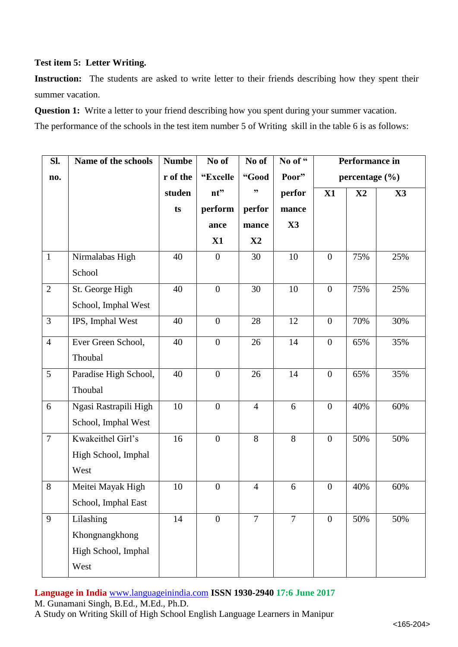# **Test item 5: Letter Writing.**

Instruction: The students are asked to write letter to their friends describing how they spent their summer vacation.

**Question 1:** Write a letter to your friend describing how you spent during your summer vacation.

The performance of the schools in the test item number 5 of Writing skill in the table 6 is as follows:

| Sl.            | Name of the schools   | <b>Numbe</b> | No of            | No of          | No of "        | Performance in   |                    |               |
|----------------|-----------------------|--------------|------------------|----------------|----------------|------------------|--------------------|---------------|
| no.            |                       | r of the     | "Excelle         | "Good          | Poor"          |                  | percentage $(\% )$ |               |
|                |                       | studen       | nt"              | ,,             | perfor         | X1               | $\mathbf{X}2$      | $\mathbf{X}3$ |
|                |                       | ts           | perform          | perfor         | mance          |                  |                    |               |
|                |                       |              | ance             | mance          | X3             |                  |                    |               |
|                |                       |              | X1               | $\mathbf{X}2$  |                |                  |                    |               |
| $\mathbf{1}$   | Nirmalabas High       | 40           | $\overline{0}$   | 30             | 10             | $\boldsymbol{0}$ | 75%                | 25%           |
|                | School                |              |                  |                |                |                  |                    |               |
| $\overline{2}$ | St. George High       | 40           | $\overline{0}$   | 30             | 10             | $\mathbf{0}$     | 75%                | 25%           |
|                | School, Imphal West   |              |                  |                |                |                  |                    |               |
| $\overline{3}$ | IPS, Imphal West      | 40           | $\boldsymbol{0}$ | 28             | 12             | $\boldsymbol{0}$ | 70%                | 30%           |
| $\overline{4}$ | Ever Green School,    | 40           | $\boldsymbol{0}$ | 26             | 14             | $\boldsymbol{0}$ | 65%                | 35%           |
|                | Thoubal               |              |                  |                |                |                  |                    |               |
| 5              | Paradise High School, | 40           | $\boldsymbol{0}$ | 26             | 14             | $\boldsymbol{0}$ | 65%                | 35%           |
|                | Thoubal               |              |                  |                |                |                  |                    |               |
| 6              | Ngasi Rastrapili High | 10           | $\overline{0}$   | $\overline{4}$ | 6              | $\boldsymbol{0}$ | 40%                | 60%           |
|                | School, Imphal West   |              |                  |                |                |                  |                    |               |
| $\overline{7}$ | Kwakeithel Girl's     | 16           | $\boldsymbol{0}$ | 8              | 8              | $\boldsymbol{0}$ | 50%                | 50%           |
|                | High School, Imphal   |              |                  |                |                |                  |                    |               |
|                | West                  |              |                  |                |                |                  |                    |               |
| $8\,$          | Meitei Mayak High     | 10           | $\boldsymbol{0}$ | $\overline{4}$ | 6              | $\boldsymbol{0}$ | 40%                | 60%           |
|                | School, Imphal East   |              |                  |                |                |                  |                    |               |
| 9              | Lilashing             | 14           | $\overline{0}$   | $\overline{7}$ | $\overline{7}$ | $\overline{0}$   | 50%                | 50%           |
|                | Khongnangkhong        |              |                  |                |                |                  |                    |               |
|                | High School, Imphal   |              |                  |                |                |                  |                    |               |
|                | West                  |              |                  |                |                |                  |                    |               |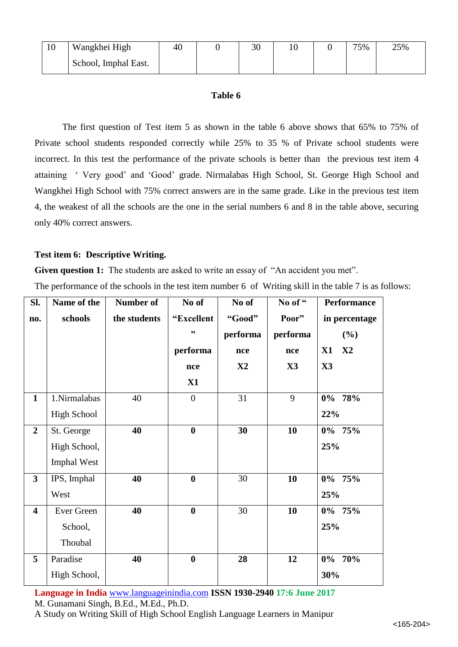| 10 | Wangkhei High        | 40 | 30 |  | 75% | 25% |
|----|----------------------|----|----|--|-----|-----|
|    | School, Imphal East. |    |    |  |     |     |

# **Table 6**

The first question of Test item 5 as shown in the table 6 above shows that 65% to 75% of Private school students responded correctly while 25% to 35 % of Private school students were incorrect. In this test the performance of the private schools is better than the previous test item 4 attaining ' Very good' and 'Good' grade. Nirmalabas High School, St. George High School and Wangkhei High School with 75% correct answers are in the same grade. Like in the previous test item 4, the weakest of all the schools are the one in the serial numbers 6 and 8 in the table above, securing only 40% correct answers.

# **Test item 6: Descriptive Writing.**

**Given question 1:** The students are asked to write an essay of "An accident you met".

The performance of the schools in the test item number 6 of Writing skill in the table 7 is as follows:

| SI.                     | Name of the        | Number of    | No of            | No of         | No of "        | <b>Performance</b> |
|-------------------------|--------------------|--------------|------------------|---------------|----------------|--------------------|
| no.                     | schools            | the students | "Excellent       | "Good"        | Poor"          | in percentage      |
|                         |                    |              | ,,               | performa      | performa       | $(\%)$             |
|                         |                    |              | performa         | nce           | nce            | X2<br>X1           |
|                         |                    |              | nce              | $\mathbf{X2}$ | $\mathbf{X}3$  | $\mathbf{X}$ 3     |
|                         |                    |              | X1               |               |                |                    |
| $\mathbf{1}$            | 1.Nirmalabas       | 40           | $\overline{0}$   | 31            | $\overline{9}$ | $0\%$ 78%          |
|                         | <b>High School</b> |              |                  |               |                | 22%                |
| $\overline{2}$          | St. George         | 40           | $\bf{0}$         | 30            | 10             | $0\%$ 75%          |
|                         | High School,       |              |                  |               |                | 25%                |
|                         | <b>Imphal West</b> |              |                  |               |                |                    |
| $\overline{\mathbf{3}}$ | IPS, Imphal        | 40           | $\bf{0}$         | 30            | 10             | $0\%$ 75%          |
|                         | West               |              |                  |               |                | 25%                |
| $\overline{\mathbf{4}}$ | Ever Green         | 40           | $\boldsymbol{0}$ | 30            | 10             | $0\%$ 75%          |
|                         | School,            |              |                  |               |                | 25%                |
|                         | Thoubal            |              |                  |               |                |                    |
| 5                       | Paradise           | 40           | $\boldsymbol{0}$ | 28            | 12             | $0\%$ 70%          |
|                         | High School,       |              |                  |               |                | 30%                |

**Language in India** [www.languageinindia.com](http://www.languageinindia.com/) **ISSN 1930-2940 17:6 June 2017** M. Gunamani Singh, B.Ed., M.Ed., Ph.D.

A Study on Writing Skill of High School English Language Learners in Manipur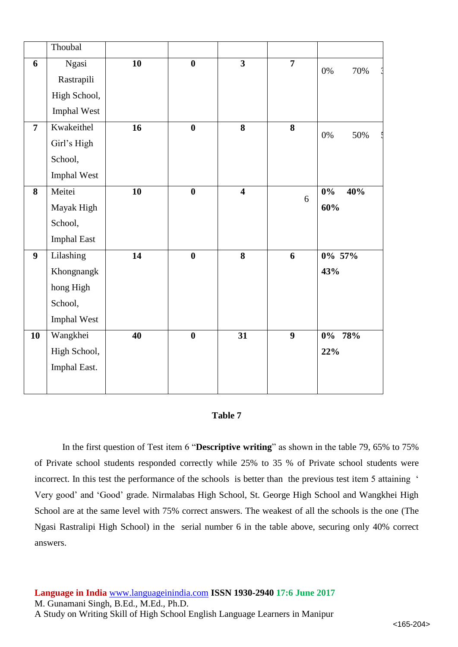|                         | Thoubal      |                 |                         |                         |                         |                         |
|-------------------------|--------------|-----------------|-------------------------|-------------------------|-------------------------|-------------------------|
| 6                       | Ngasi        | 10              | $\bf{0}$                | $\overline{3}$          | $\overline{7}$          | 70%<br>$0\%$            |
|                         | Rastrapili   |                 |                         |                         |                         |                         |
|                         | High School, |                 |                         |                         |                         |                         |
|                         | Imphal West  |                 |                         |                         |                         |                         |
| $\overline{7}$          | Kwakeithel   | $\overline{16}$ | $\boldsymbol{0}$        | $\overline{\mathbf{8}}$ | $\overline{\mathbf{8}}$ | $0\%$<br>50%            |
|                         | Girl's High  |                 |                         |                         |                         |                         |
|                         | School,      |                 |                         |                         |                         |                         |
|                         | Imphal West  |                 |                         |                         |                         |                         |
| $\overline{\mathbf{8}}$ | Meitei       | $\overline{10}$ | $\overline{\mathbf{0}}$ | $\overline{4}$          | $6\,$                   | 40%<br>$\overline{0\%}$ |
|                         | Mayak High   |                 |                         |                         |                         | 60%                     |
|                         | School,      |                 |                         |                         |                         |                         |
|                         | Imphal East  |                 |                         |                         |                         |                         |
| $\boldsymbol{9}$        | Lilashing    | $\overline{14}$ | $\bf{0}$                | $\overline{\mathbf{8}}$ | 6                       | $0\%$ 57%               |
|                         | Khongnangk   |                 |                         |                         |                         | 43%                     |
|                         | hong High    |                 |                         |                         |                         |                         |
|                         | School,      |                 |                         |                         |                         |                         |
|                         | Imphal West  |                 |                         |                         |                         |                         |
| 10                      | Wangkhei     | $\overline{40}$ | $\bf{0}$                | $\overline{31}$         | $\overline{9}$          | $0\%$ 78%               |
|                         | High School, |                 |                         |                         |                         | 22%                     |
|                         | Imphal East. |                 |                         |                         |                         |                         |
|                         |              |                 |                         |                         |                         |                         |

#### **Table 7**

In the first question of Test item 6 "**Descriptive writing**" as shown in the table 79, 65% to 75% of Private school students responded correctly while 25% to 35 % of Private school students were incorrect. In this test the performance of the schools is better than the previous test item 5 attaining ' Very good' and 'Good' grade. Nirmalabas High School, St. George High School and Wangkhei High School are at the same level with 75% correct answers. The weakest of all the schools is the one (The Ngasi Rastralipi High School) in the serial number 6 in the table above, securing only 40% correct answers.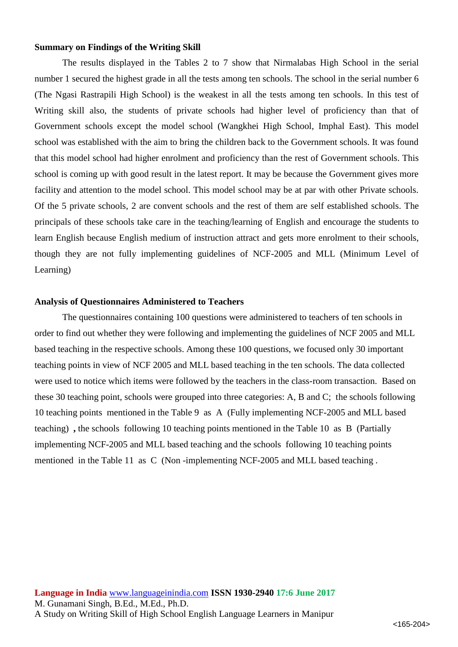#### **Summary on Findings of the Writing Skill**

The results displayed in the Tables 2 to 7 show that Nirmalabas High School in the serial number 1 secured the highest grade in all the tests among ten schools. The school in the serial number 6 (The Ngasi Rastrapili High School) is the weakest in all the tests among ten schools. In this test of Writing skill also, the students of private schools had higher level of proficiency than that of Government schools except the model school (Wangkhei High School, Imphal East). This model school was established with the aim to bring the children back to the Government schools. It was found that this model school had higher enrolment and proficiency than the rest of Government schools. This school is coming up with good result in the latest report. It may be because the Government gives more facility and attention to the model school. This model school may be at par with other Private schools. Of the 5 private schools, 2 are convent schools and the rest of them are self established schools. The principals of these schools take care in the teaching/learning of English and encourage the students to learn English because English medium of instruction attract and gets more enrolment to their schools, though they are not fully implementing guidelines of NCF-2005 and MLL (Minimum Level of Learning)

#### **Analysis of Questionnaires Administered to Teachers**

The questionnaires containing 100 questions were administered to teachers of ten schools in order to find out whether they were following and implementing the guidelines of NCF 2005 and MLL based teaching in the respective schools. Among these 100 questions, we focused only 30 important teaching points in view of NCF 2005 and MLL based teaching in the ten schools. The data collected were used to notice which items were followed by the teachers in the class-room transaction. Based on these 30 teaching point, schools were grouped into three categories: A, B and C; the schools following 10 teaching points mentioned in the Table 9 as A (Fully implementing NCF-2005 and MLL based teaching) **,** the schools following 10 teaching points mentioned in the Table 10 as B (Partially implementing NCF-2005 and MLL based teaching and the schools following 10 teaching points mentioned in the Table 11 as C (Non -implementing NCF-2005 and MLL based teaching .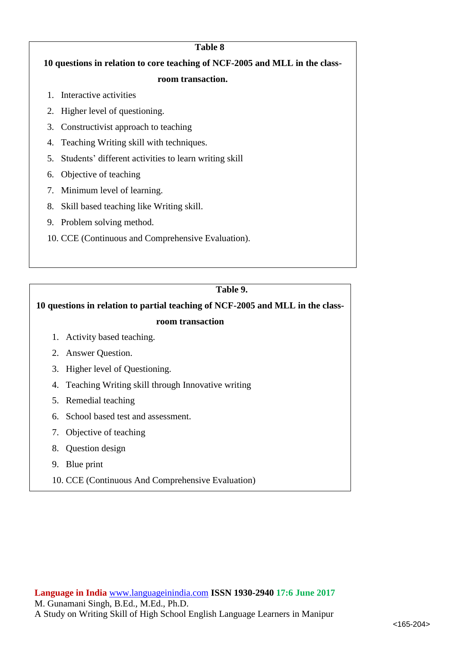| Table 8                                                                     |  |  |  |  |  |  |  |  |  |
|-----------------------------------------------------------------------------|--|--|--|--|--|--|--|--|--|
| 10 questions in relation to core teaching of NCF-2005 and MLL in the class- |  |  |  |  |  |  |  |  |  |
| room transaction.                                                           |  |  |  |  |  |  |  |  |  |
| Interactive activities<br>$1_{-}$                                           |  |  |  |  |  |  |  |  |  |
| 2. Higher level of questioning.                                             |  |  |  |  |  |  |  |  |  |
| Constructivist approach to teaching<br>3.                                   |  |  |  |  |  |  |  |  |  |
| 4. Teaching Writing skill with techniques.                                  |  |  |  |  |  |  |  |  |  |
| Students' different activities to learn writing skill<br>5.                 |  |  |  |  |  |  |  |  |  |
| Objective of teaching<br>6.                                                 |  |  |  |  |  |  |  |  |  |
| Minimum level of learning.<br>7.                                            |  |  |  |  |  |  |  |  |  |
| Skill based teaching like Writing skill.<br>8.                              |  |  |  |  |  |  |  |  |  |
| 9. Problem solving method.                                                  |  |  |  |  |  |  |  |  |  |
| 10. CCE (Continuous and Comprehensive Evaluation).                          |  |  |  |  |  |  |  |  |  |
|                                                                             |  |  |  |  |  |  |  |  |  |

# **Table 9.**

# **10 questions in relation to partial teaching of NCF-2005 and MLL in the class-**

### **room transaction**

- 1. Activity based teaching.
- 2. Answer Question.
- 3. Higher level of Questioning.
- 4. Teaching Writing skill through Innovative writing
- 5. Remedial teaching
- 6. School based test and assessment.
- 7. Objective of teaching
- 8. Question design
- 9. Blue print
- 10. CCE (Continuous And Comprehensive Evaluation)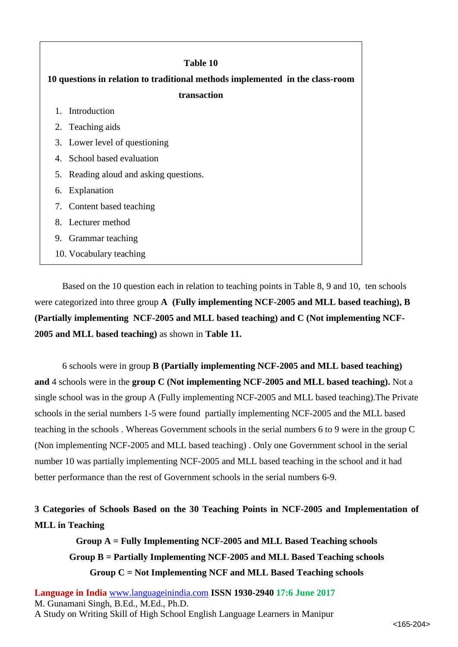| Table 10                                                                      |  |  |  |  |  |  |  |
|-------------------------------------------------------------------------------|--|--|--|--|--|--|--|
| 10 questions in relation to traditional methods implemented in the class-room |  |  |  |  |  |  |  |
| transaction                                                                   |  |  |  |  |  |  |  |
| Introduction<br>$1_{-}$                                                       |  |  |  |  |  |  |  |
| 2. Teaching aids                                                              |  |  |  |  |  |  |  |
| 3. Lower level of questioning                                                 |  |  |  |  |  |  |  |
| 4. School based evaluation                                                    |  |  |  |  |  |  |  |
| Reading aloud and asking questions.<br>5.                                     |  |  |  |  |  |  |  |
| Explanation<br>6.                                                             |  |  |  |  |  |  |  |
| 7. Content based teaching                                                     |  |  |  |  |  |  |  |
| 8. Lecturer method                                                            |  |  |  |  |  |  |  |
| Grammar teaching<br>9.                                                        |  |  |  |  |  |  |  |
| 10. Vocabulary teaching                                                       |  |  |  |  |  |  |  |

Based on the 10 question each in relation to teaching points in Table 8, 9 and 10, ten schools were categorized into three group **A (Fully implementing NCF-2005 and MLL based teaching), B (Partially implementing NCF-2005 and MLL based teaching) and C (Not implementing NCF-2005 and MLL based teaching)** as shown in **Table 11.**

6 schools were in group **B (Partially implementing NCF-2005 and MLL based teaching) and** 4 schools were in the **group C (Not implementing NCF-2005 and MLL based teaching).** Not a single school was in the group A (Fully implementing NCF-2005 and MLL based teaching).The Private schools in the serial numbers 1-5 were found partially implementing NCF-2005 and the MLL based teaching in the schools . Whereas Government schools in the serial numbers 6 to 9 were in the group C (Non implementing NCF-2005 and MLL based teaching) . Only one Government school in the serial number 10 was partially implementing NCF-2005 and MLL based teaching in the school and it had better performance than the rest of Government schools in the serial numbers 6-9.

# **3 Categories of Schools Based on the 30 Teaching Points in NCF-2005 and Implementation of MLL in Teaching**

**Group A = Fully Implementing NCF-2005 and MLL Based Teaching schools Group B = Partially Implementing NCF-2005 and MLL Based Teaching schools Group C = Not Implementing NCF and MLL Based Teaching schools**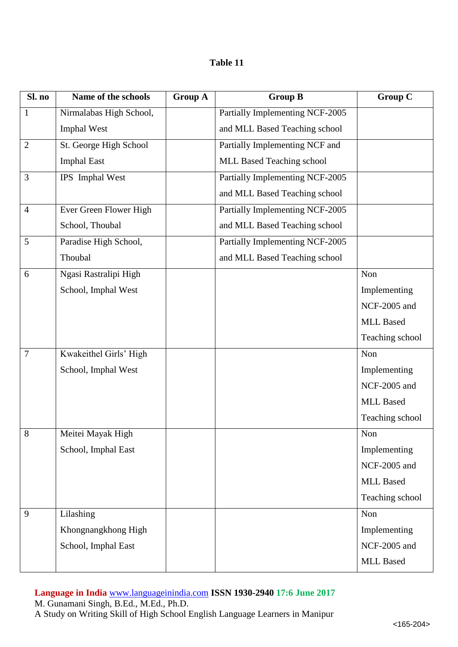# **Table 11**

| Sl. no         | Name of the schools     | <b>Group A</b> | <b>Group B</b>                  | <b>Group C</b>   |
|----------------|-------------------------|----------------|---------------------------------|------------------|
| $\mathbf{1}$   | Nirmalabas High School, |                | Partially Implementing NCF-2005 |                  |
|                | Imphal West             |                | and MLL Based Teaching school   |                  |
| $\overline{2}$ | St. George High School  |                | Partially Implementing NCF and  |                  |
|                | <b>Imphal East</b>      |                | MLL Based Teaching school       |                  |
| 3              | IPS Imphal West         |                | Partially Implementing NCF-2005 |                  |
|                |                         |                | and MLL Based Teaching school   |                  |
| $\overline{4}$ | Ever Green Flower High  |                | Partially Implementing NCF-2005 |                  |
|                | School, Thoubal         |                | and MLL Based Teaching school   |                  |
| 5              | Paradise High School,   |                | Partially Implementing NCF-2005 |                  |
|                | Thoubal                 |                | and MLL Based Teaching school   |                  |
| 6              | Ngasi Rastralipi High   |                |                                 | Non              |
|                | School, Imphal West     |                |                                 | Implementing     |
|                |                         |                |                                 | NCF-2005 and     |
|                |                         |                |                                 | <b>MLL Based</b> |
|                |                         |                |                                 | Teaching school  |
| 7              | Kwakeithel Girls' High  |                |                                 | Non              |
|                | School, Imphal West     |                |                                 | Implementing     |
|                |                         |                |                                 | NCF-2005 and     |
|                |                         |                |                                 | <b>MLL Based</b> |
|                |                         |                |                                 | Teaching school  |
| $8\,$          | Meitei Mayak High       |                |                                 | Non              |
|                | School, Imphal East     |                |                                 | Implementing     |
|                |                         |                |                                 | NCF-2005 and     |
|                |                         |                |                                 | <b>MLL Based</b> |
|                |                         |                |                                 | Teaching school  |
| 9              | Lilashing               |                |                                 | Non              |
|                | Khongnangkhong High     |                |                                 | Implementing     |
|                | School, Imphal East     |                |                                 | NCF-2005 and     |
|                |                         |                |                                 | <b>MLL Based</b> |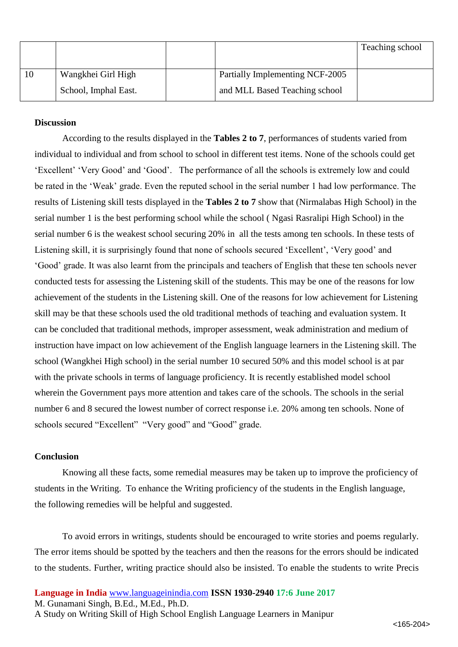|    |                      |                                 | Teaching school |
|----|----------------------|---------------------------------|-----------------|
|    |                      |                                 |                 |
| 10 | Wangkhei Girl High   | Partially Implementing NCF-2005 |                 |
|    | School, Imphal East. | and MLL Based Teaching school   |                 |

### **Discussion**

According to the results displayed in the **Tables 2 to 7**, performances of students varied from individual to individual and from school to school in different test items. None of the schools could get 'Excellent' 'Very Good' and 'Good'. The performance of all the schools is extremely low and could be rated in the 'Weak' grade. Even the reputed school in the serial number 1 had low performance. The results of Listening skill tests displayed in the **Tables 2 to 7** show that (Nirmalabas High School) in the serial number 1 is the best performing school while the school ( Ngasi Rasralipi High School) in the serial number 6 is the weakest school securing 20% in all the tests among ten schools. In these tests of Listening skill, it is surprisingly found that none of schools secured 'Excellent', 'Very good' and 'Good' grade. It was also learnt from the principals and teachers of English that these ten schools never conducted tests for assessing the Listening skill of the students. This may be one of the reasons for low achievement of the students in the Listening skill. One of the reasons for low achievement for Listening skill may be that these schools used the old traditional methods of teaching and evaluation system. It can be concluded that traditional methods, improper assessment, weak administration and medium of instruction have impact on low achievement of the English language learners in the Listening skill. The school (Wangkhei High school) in the serial number 10 secured 50% and this model school is at par with the private schools in terms of language proficiency. It is recently established model school wherein the Government pays more attention and takes care of the schools. The schools in the serial number 6 and 8 secured the lowest number of correct response i.e. 20% among ten schools. None of schools secured "Excellent" "Very good" and "Good" grade.

### **Conclusion**

Knowing all these facts, some remedial measures may be taken up to improve the proficiency of students in the Writing. To enhance the Writing proficiency of the students in the English language, the following remedies will be helpful and suggested.

To avoid errors in writings, students should be encouraged to write stories and poems regularly. The error items should be spotted by the teachers and then the reasons for the errors should be indicated to the students. Further, writing practice should also be insisted. To enable the students to write Precis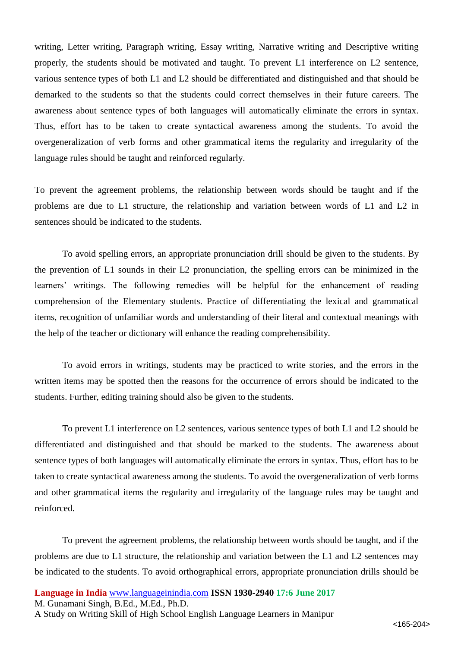writing, Letter writing, Paragraph writing, Essay writing, Narrative writing and Descriptive writing properly, the students should be motivated and taught. To prevent L1 interference on L2 sentence, various sentence types of both L1 and L2 should be differentiated and distinguished and that should be demarked to the students so that the students could correct themselves in their future careers. The awareness about sentence types of both languages will automatically eliminate the errors in syntax. Thus, effort has to be taken to create syntactical awareness among the students. To avoid the overgeneralization of verb forms and other grammatical items the regularity and irregularity of the language rules should be taught and reinforced regularly.

To prevent the agreement problems, the relationship between words should be taught and if the problems are due to L1 structure, the relationship and variation between words of L1 and L2 in sentences should be indicated to the students.

To avoid spelling errors, an appropriate pronunciation drill should be given to the students. By the prevention of L1 sounds in their L2 pronunciation, the spelling errors can be minimized in the learners' writings. The following remedies will be helpful for the enhancement of reading comprehension of the Elementary students. Practice of differentiating the lexical and grammatical items, recognition of unfamiliar words and understanding of their literal and contextual meanings with the help of the teacher or dictionary will enhance the reading comprehensibility.

To avoid errors in writings, students may be practiced to write stories, and the errors in the written items may be spotted then the reasons for the occurrence of errors should be indicated to the students. Further, editing training should also be given to the students.

To prevent L1 interference on L2 sentences, various sentence types of both L1 and L2 should be differentiated and distinguished and that should be marked to the students. The awareness about sentence types of both languages will automatically eliminate the errors in syntax. Thus, effort has to be taken to create syntactical awareness among the students. To avoid the overgeneralization of verb forms and other grammatical items the regularity and irregularity of the language rules may be taught and reinforced.

To prevent the agreement problems, the relationship between words should be taught, and if the problems are due to L1 structure, the relationship and variation between the L1 and L2 sentences may be indicated to the students. To avoid orthographical errors, appropriate pronunciation drills should be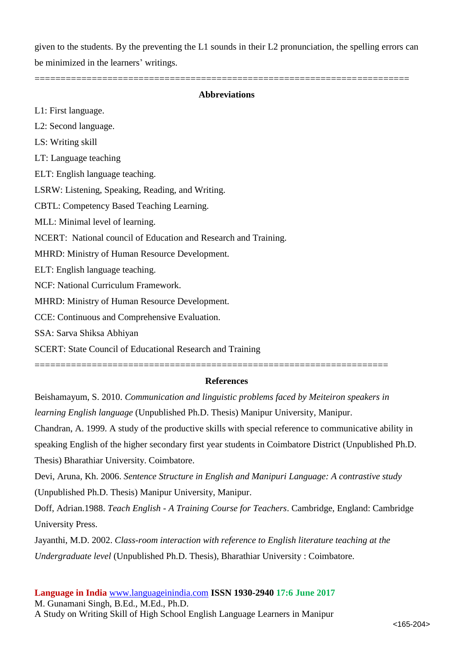given to the students. By the preventing the L1 sounds in their L2 pronunciation, the spelling errors can be minimized in the learners' writings.

# **Abbreviations**

========================================================================

L1: First language. L2: Second language. LS: Writing skill LT: Language teaching ELT: English language teaching. LSRW: Listening, Speaking, Reading, and Writing. CBTL: Competency Based Teaching Learning. MLL: Minimal level of learning. NCERT: National council of Education and Research and Training. MHRD: Ministry of Human Resource Development. ELT: English language teaching. NCF: National Curriculum Framework. MHRD: Ministry of Human Resource Development. CCE: Continuous and Comprehensive Evaluation. SSA: Sarva Shiksa Abhiyan SCERT: State Council of Educational Research and Training

====================================================================

### **References**

Beishamayum, S. 2010. *Communication and linguistic problems faced by Meiteiron speakers in learning English language* (Unpublished Ph.D. Thesis) Manipur University, Manipur.

Chandran, A. 1999. A study of the productive skills with special reference to communicative ability in speaking English of the higher secondary first year students in Coimbatore District (Unpublished Ph.D. Thesis) Bharathiar University. Coimbatore.

Devi, Aruna, Kh. 2006. *Sentence Structure in English and Manipuri Language: A contrastive study*  (Unpublished Ph.D. Thesis) Manipur University, Manipur.

Doff, Adrian.1988. *Teach English - A Training Course for Teachers*. Cambridge, England: Cambridge University Press.

Jayanthi, M.D. 2002. *Class-room interaction with reference to English literature teaching at the Undergraduate level* (Unpublished Ph.D. Thesis), Bharathiar University : Coimbatore.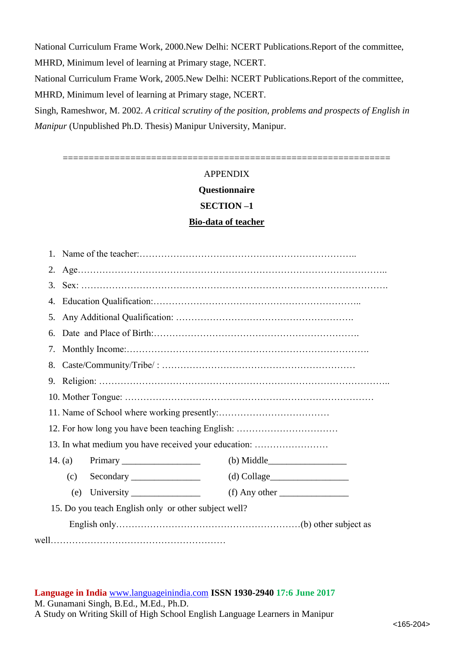National Curriculum Frame Work, 2000.New Delhi: NCERT Publications.Report of the committee, MHRD, Minimum level of learning at Primary stage, NCERT.

National Curriculum Frame Work, 2005.New Delhi: NCERT Publications.Report of the committee, MHRD, Minimum level of learning at Primary stage, NCERT.

Singh, Rameshwor, M. 2002. *A critical scrutiny of the position, problems and prospects of English in Manipur* (Unpublished Ph.D. Thesis) Manipur University, Manipur.

===============================================================

# APPENDIX

**Questionnaire**

#### **SECTION –1**

#### **Bio-data of teacher**

| 2.                                                   |               |
|------------------------------------------------------|---------------|
| 3.                                                   |               |
| 4.                                                   |               |
| 5.                                                   |               |
| 6.                                                   |               |
| 7.                                                   |               |
| 8.                                                   |               |
| 9.                                                   |               |
|                                                      |               |
|                                                      |               |
| 12. For how long you have been teaching English:     |               |
| 13. In what medium you have received your education: |               |
|                                                      | $(b)$ Middle  |
| (c)<br>Secondary                                     | $(d)$ Collage |
| (e)                                                  |               |
| 15. Do you teach English only or other subject well? |               |
|                                                      |               |
|                                                      |               |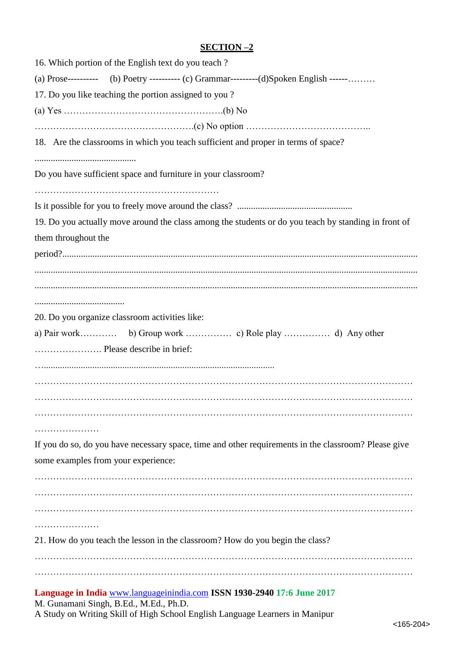# **SECTION –2**

| 16. Which portion of the English text do you teach?                                                                                                                                               |
|---------------------------------------------------------------------------------------------------------------------------------------------------------------------------------------------------|
| (a) Prose----------- (b) Poetry ---------- (c) Grammar----------(d)Spoken English ------                                                                                                          |
| 17. Do you like teaching the portion assigned to you?                                                                                                                                             |
|                                                                                                                                                                                                   |
|                                                                                                                                                                                                   |
| 18. Are the classrooms in which you teach sufficient and proper in terms of space?                                                                                                                |
|                                                                                                                                                                                                   |
| Do you have sufficient space and furniture in your classroom?                                                                                                                                     |
|                                                                                                                                                                                                   |
|                                                                                                                                                                                                   |
| 19. Do you actually move around the class among the students or do you teach by standing in front of                                                                                              |
| them throughout the                                                                                                                                                                               |
|                                                                                                                                                                                                   |
|                                                                                                                                                                                                   |
|                                                                                                                                                                                                   |
|                                                                                                                                                                                                   |
| 20. Do you organize classroom activities like:                                                                                                                                                    |
|                                                                                                                                                                                                   |
| Please describe in brief:                                                                                                                                                                         |
|                                                                                                                                                                                                   |
|                                                                                                                                                                                                   |
|                                                                                                                                                                                                   |
|                                                                                                                                                                                                   |
|                                                                                                                                                                                                   |
| If you do so, do you have necessary space, time and other requirements in the classroom? Please give                                                                                              |
| some examples from your experience:                                                                                                                                                               |
|                                                                                                                                                                                                   |
|                                                                                                                                                                                                   |
|                                                                                                                                                                                                   |
| .                                                                                                                                                                                                 |
| 21. How do you teach the lesson in the classroom? How do you begin the class?                                                                                                                     |
|                                                                                                                                                                                                   |
|                                                                                                                                                                                                   |
| Language in India www.languageinindia.com ISSN 1930-2940 17:6 June 2017<br>M. Gunamani Singh, B.Ed., M.Ed., Ph.D.<br>A Study on Writing Skill of High School English Language Learners in Manipur |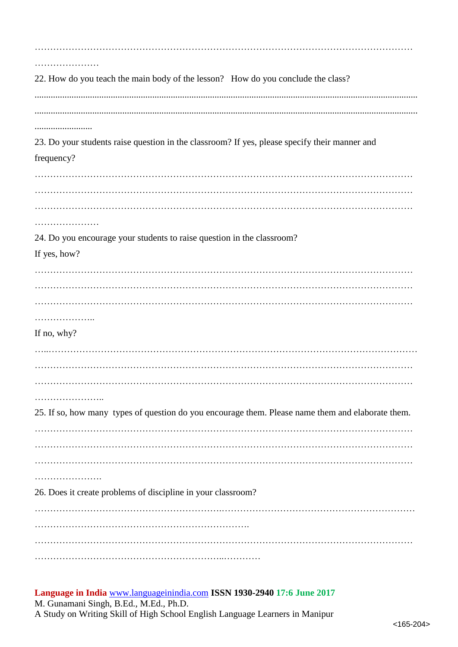| .                                                                                                 |
|---------------------------------------------------------------------------------------------------|
| 22. How do you teach the main body of the lesson? How do you conclude the class?                  |
|                                                                                                   |
|                                                                                                   |
|                                                                                                   |
|                                                                                                   |
| 23. Do your students raise question in the classroom? If yes, please specify their manner and     |
| frequency?                                                                                        |
|                                                                                                   |
|                                                                                                   |
|                                                                                                   |
|                                                                                                   |
| 24. Do you encourage your students to raise question in the classroom?                            |
| If yes, how?                                                                                      |
|                                                                                                   |
|                                                                                                   |
|                                                                                                   |
|                                                                                                   |
| . <b>.</b>                                                                                        |
| If no, why?                                                                                       |
|                                                                                                   |
|                                                                                                   |
|                                                                                                   |
| .                                                                                                 |
| 25. If so, how many types of question do you encourage them. Please name them and elaborate them. |
|                                                                                                   |
|                                                                                                   |
|                                                                                                   |
|                                                                                                   |
| .                                                                                                 |
| 26. Does it create problems of discipline in your classroom?                                      |
|                                                                                                   |
|                                                                                                   |
|                                                                                                   |
|                                                                                                   |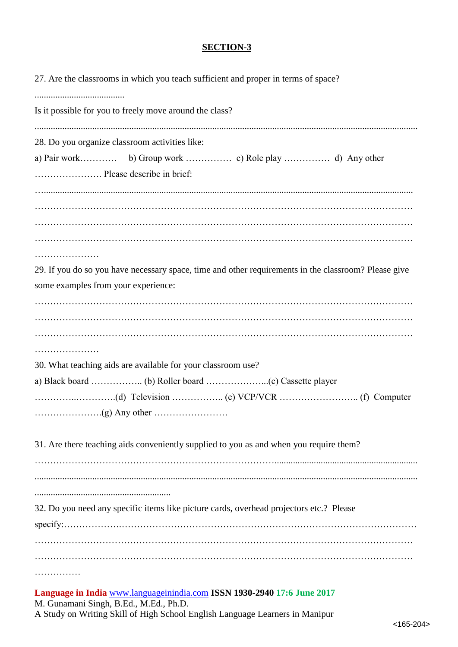# **SECTION-3**

| 27. Are the classrooms in which you teach sufficient and proper in terms of space?                                                          |
|---------------------------------------------------------------------------------------------------------------------------------------------|
| Is it possible for you to freely move around the class?                                                                                     |
| 28. Do you organize classroom activities like:                                                                                              |
|                                                                                                                                             |
|                                                                                                                                             |
|                                                                                                                                             |
| 29. If you do so you have necessary space, time and other requirements in the classroom? Please give<br>some examples from your experience: |
|                                                                                                                                             |
|                                                                                                                                             |
| 30. What teaching aids are available for your classroom use?                                                                                |
|                                                                                                                                             |
|                                                                                                                                             |
| 31. Are there teaching aids conveniently supplied to you as and when you require them?                                                      |
|                                                                                                                                             |
| 32. Do you need any specific items like picture cards, overhead projectors etc.? Please                                                     |
|                                                                                                                                             |
|                                                                                                                                             |
| Language in India www.languageinindia.com ISSN 1930-2940 17:6 June 2017                                                                     |

M. Gunamani Singh, B.Ed., M.Ed., Ph.D.

A Study on Writing Skill of High School English Language Learners in Manipur

<165-204>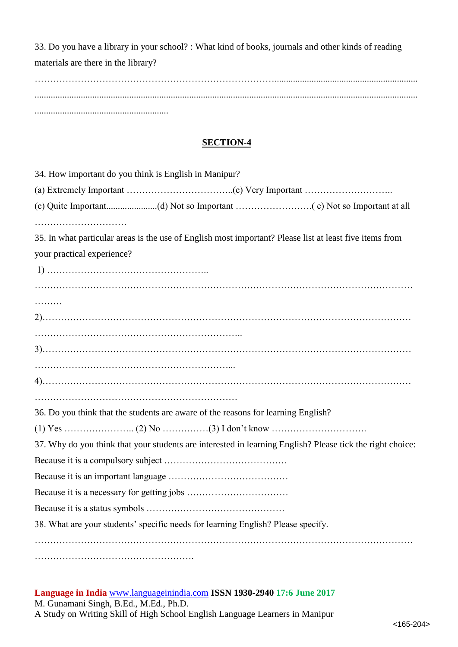33. Do you have a library in your school? : What kind of books, journals and other kinds of reading materials are there in the library? ……………………………………………………………………..............................................................

...................................................................................................................................................................... ..........................................................

# **SECTION-4**

| 34. How important do you think is English in Manipur?                                                     |
|-----------------------------------------------------------------------------------------------------------|
|                                                                                                           |
|                                                                                                           |
|                                                                                                           |
| 35. In what particular areas is the use of English most important? Please list at least five items from   |
| your practical experience?                                                                                |
|                                                                                                           |
|                                                                                                           |
| .                                                                                                         |
|                                                                                                           |
|                                                                                                           |
|                                                                                                           |
|                                                                                                           |
|                                                                                                           |
|                                                                                                           |
| 36. Do you think that the students are aware of the reasons for learning English?                         |
|                                                                                                           |
| 37. Why do you think that your students are interested in learning English? Please tick the right choice: |
|                                                                                                           |
|                                                                                                           |
|                                                                                                           |
|                                                                                                           |
| 38. What are your students' specific needs for learning English? Please specify.                          |
|                                                                                                           |
|                                                                                                           |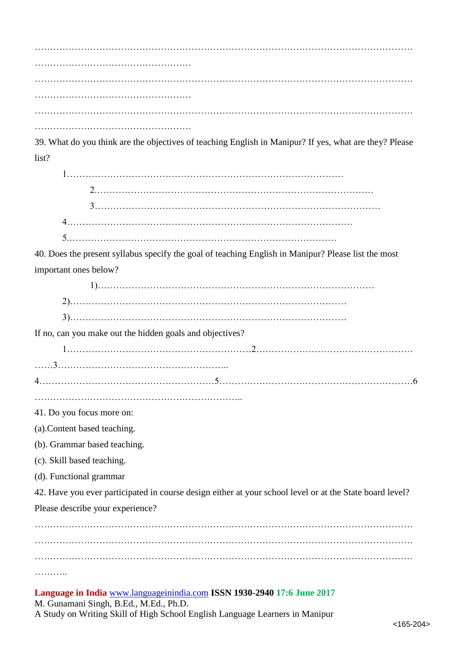…………………………………………………………………………………………………………… …………………………………………… …………………………………………………………………………………………………………… …………………………………………… ……………………………………………

39. What do you think are the objectives of teaching English in Manipur? If yes, what are they? Please list?

1……………………………………………………………………………… 2.……………………………………………………………………………… 3………………………………………………………………………………… 4………………………………………………………………………………… 5.……………………………………………………………………………

40. Does the present syllabus specify the goal of teaching English in Manipur? Please list the most important ones below?

1)……………………………………………………………………………… 2)……………………………………………………………………………… 3)………………………………………………………………………………

If no, can you make out the hidden goals and objectives?

1……………………………………………………2…………………………………………… ……3……………………………………………………

4…………………………………………………5………………………………………………………6

…………………………………………………………..

41. Do you focus more on:

(a).Content based teaching.

(b). Grammar based teaching.

(c). Skill based teaching.

(d). Functional grammar

42. Have you ever participated in course design either at your school level or at the State board level? Please describe your experience?

…………………………………………………………………………………………………………… ……………………………………………………………………………………………………………

………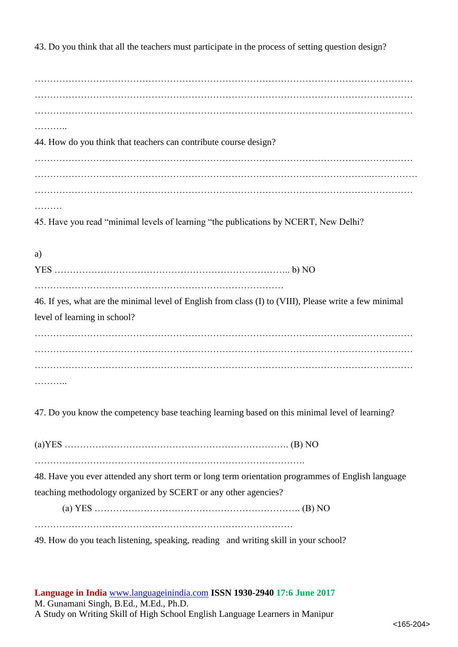43. Do you think that all the teachers must participate in the process of setting question design?

…………………………………………………………………………………………………………… …………………………………………………………………………………………………………… …………………………………………………………………………………………………………… ………… 44. How do you think that teachers can contribute course design? …………………………………………………………………………………………………………… ………………………………………………………………………………………………..…………… …………………………………………………………………………………………………………… ………

45. Have you read "minimal levels of learning "the publications by NCERT, New Delhi?

a) YES ………………………………………………………………….. b) NO ……………………………………………………………………… 46. If yes, what are the minimal level of English from class (I) to (VIII), Please write a few minimal

level of learning in school? …………………………………………………………………………………………………………… …………………………………………………………………………………………………………… …………………………………………………………………………………………………………… ………

47. Do you know the competency base teaching learning based on this minimal level of learning?

(a)YES ………………………………………………………………. (B) NO

…………………………………………………………………………….

48. Have you ever attended any short term or long term orientation programmes of English language teaching methodology organized by SCERT or any other agencies?

(a) YES …………………………………………………………. (B) NO …………………………………………………………………………

49. How do you teach listening, speaking, reading and writing skill in your school?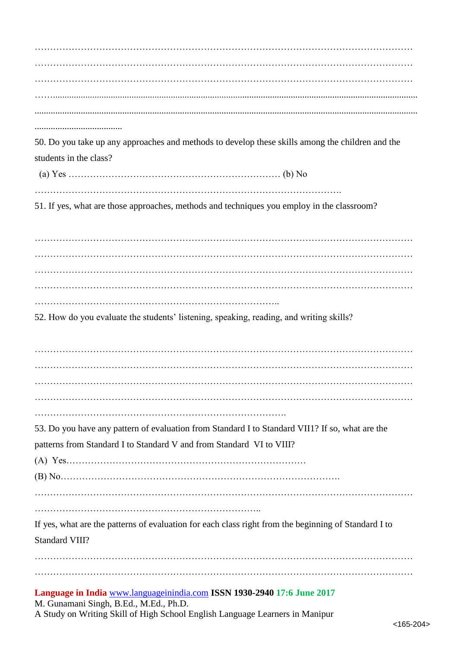…………………………………………………………………………………………………………… …………………………………………………………………………………………………………… …………………………………………………………………………………………………………… …….............................................................................................................................................................. ......................................

50. Do you take up any approaches and methods to develop these skills among the children and the students in the class?

(a) Yes …………………………………………………………… (b) No

……………………………………………………………………………………….

51. If yes, what are those approaches, methods and techniques you employ in the classroom?

…………………………………………………………………………………………………………… …………………………………………………………………………………………………………… …………………………………………………………………………………………………………… …………………………………………………………………………………………………………… ……………………………………………………………………..

52. How do you evaluate the students' listening, speaking, reading, and writing skills?

…………………………………………………………………………………………………………… …………………………………………………………………………………………………………… . The contract of the contract of the contract of the contract of the contract of the contract of the contract of the contract of the contract of the contract of the contract of the contract of the contract of the contrac ……………………………………………………………………………………………………………

……………………………………………………………………….

53. Do you have any pattern of evaluation from Standard I to Standard VII1? If so, what are the patterns from Standard I to Standard V and from Standard VI to VIII?

(A) Yes……………………………………………………………………

(B) No……………………………………………………………………………….

……………………………………………………………………………………………………………

………………………………………………………………..

If yes, what are the patterns of evaluation for each class right from the beginning of Standard I to Standard VIII?

…………………………………………………………………………………………………………… ……………………………………………………………………………………………………………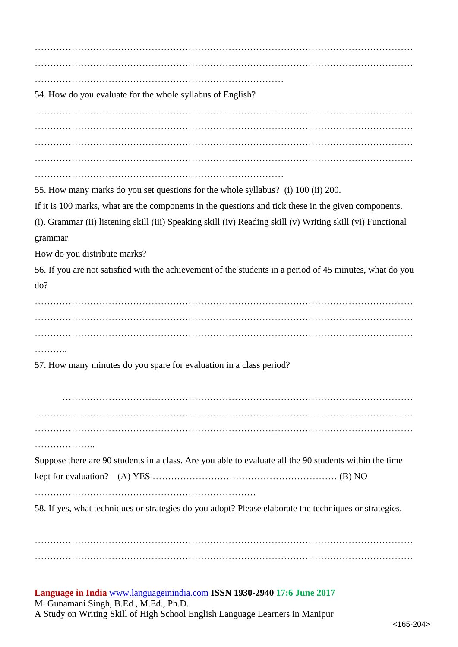…………………………………………………………………………………………………………… …………………………………………………………………………………………………………… ……………………………………………………………………… 54. How do you evaluate for the whole syllabus of English? …………………………………………………………………………………………………………… …………………………………………………………………………………………………………… . The contract of the contract of the contract of the contract of the contract of the contract of the contract of the contract of the contract of the contract of the contract of the contract of the contract of the contrac …………………………………………………………………………………………………………… 55. How many marks do you set questions for the whole syllabus? (i) 100 (ii) 200. If it is 100 marks, what are the components in the questions and tick these in the given components. (i). Grammar (ii) listening skill (iii) Speaking skill (iv) Reading skill (v) Writing skill (vi) Functional grammar How do you distribute marks? 56. If you are not satisfied with the achievement of the students in a period of 45 minutes, what do you do? …………………………………………………………………………………………………………… …………………………………………………………………………………………………………… . . . . . . . . . . 57. How many minutes do you spare for evaluation in a class period? …………………………………………………………………………………………………… …………………………………………………………………………………………………………… …………………………………………………………………………………………………………… ……………….. Suppose there are 90 students in a class. Are you able to evaluate all the 90 students within the time kept for evaluation? (A) YES …………………………………………………… (B) NO ……………………………………………………………… 58. If yes, what techniques or strategies do you adopt? Please elaborate the techniques or strategies. ……………………………………………………………………………………………………………

……………………………………………………………………………………………………………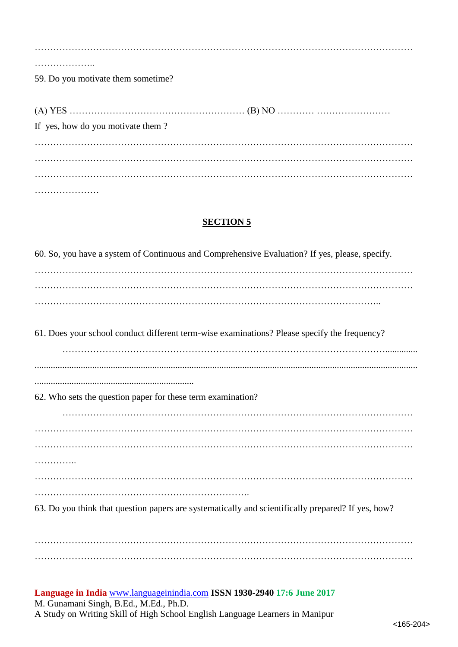| 59. Do you motivate them sometime? |
|------------------------------------|
|                                    |
|                                    |
| If yes, how do you motivate them?  |
|                                    |
|                                    |
|                                    |
|                                    |

**SECTION 5**

…………………

| 60. So, you have a system of Continuous and Comprehensive Evaluation? If yes, please, specify.     |
|----------------------------------------------------------------------------------------------------|
|                                                                                                    |
|                                                                                                    |
|                                                                                                    |
| 61. Does your school conduct different term-wise examinations? Please specify the frequency?       |
|                                                                                                    |
|                                                                                                    |
| 62. Who sets the question paper for these term examination?                                        |
|                                                                                                    |
|                                                                                                    |
|                                                                                                    |
|                                                                                                    |
|                                                                                                    |
| 63. Do you think that question papers are systematically and scientifically prepared? If yes, how? |
|                                                                                                    |

…………………………………………………………………………………………………………… ……………………………………………………………………………………………………………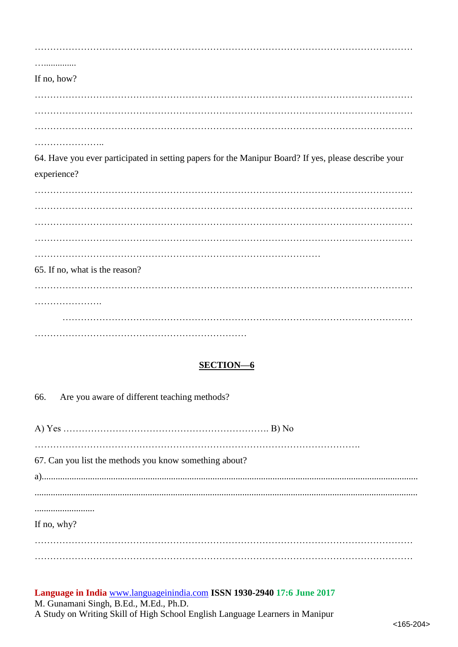. . . . . . . . . . . . . . . . . If no, how? 64. Have you ever participated in setting papers for the Manipur Board? If yes, please describe your experience? 65. If no, what is the reason? 

# **SECTION-6**

66. Are you aware of different teaching methods?

67. Can you list the methods you know something about? If no, why?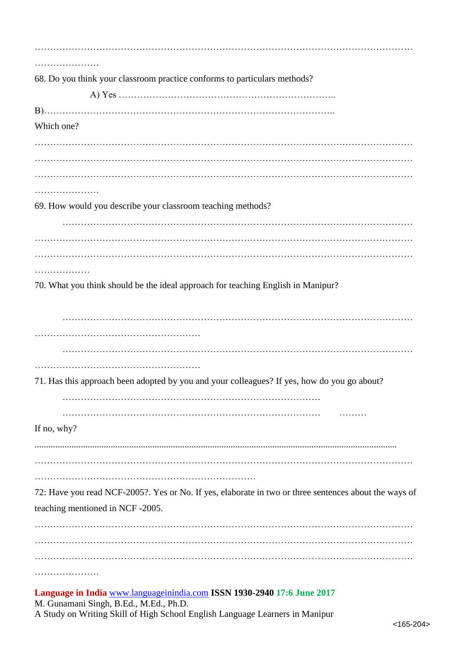| 68. Do you think your classroom practice conforms to particulars methods?                                         |
|-------------------------------------------------------------------------------------------------------------------|
|                                                                                                                   |
|                                                                                                                   |
| Which one?                                                                                                        |
|                                                                                                                   |
|                                                                                                                   |
|                                                                                                                   |
|                                                                                                                   |
|                                                                                                                   |
| 69. How would you describe your classroom teaching methods?                                                       |
|                                                                                                                   |
|                                                                                                                   |
|                                                                                                                   |
| .                                                                                                                 |
| 70. What you think should be the ideal approach for teaching English in Manipur?                                  |
|                                                                                                                   |
|                                                                                                                   |
|                                                                                                                   |
|                                                                                                                   |
|                                                                                                                   |
| 71. Has this approach been adopted by you and your colleagues? If yes, how do you go about?                       |
|                                                                                                                   |
|                                                                                                                   |
| If no, why?                                                                                                       |
|                                                                                                                   |
|                                                                                                                   |
|                                                                                                                   |
| 72: Have you read NCF-2005?. Yes or No. If yes, elaborate in two or three sentences about the ways of             |
| teaching mentioned in NCF-2005.                                                                                   |
|                                                                                                                   |
|                                                                                                                   |
|                                                                                                                   |
|                                                                                                                   |
|                                                                                                                   |
| Language in India www.languageinindia.com ISSN 1930-2940 17:6 June 2017<br>M. Gunamani Singh, B.Ed., M.Ed., Ph.D. |

A Study on Writing Skill of High School English Language Learners in Manipur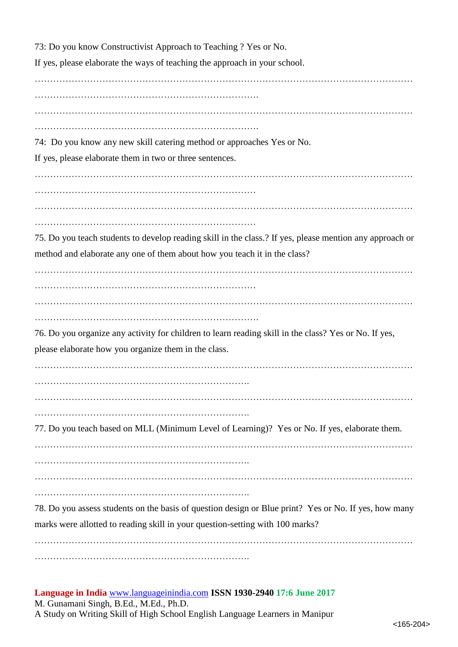73: Do you know Constructivist Approach to Teaching ? Yes or No. If yes, please elaborate the ways of teaching the approach in your school. …………………………………………………………………………………………………………… ………………………………………………………………. …………………………………………………………………………………………………………… ………………………………………………………………. 74: Do you know any new skill catering method or approaches Yes or No. If yes, please elaborate them in two or three sentences. …………………………………………………………………………………………………………… ……………………………………………………………… …………………………………………………………………………………………………………… ……………………………………………………………… 75. Do you teach students to develop reading skill in the class.? If yes, please mention any approach or method and elaborate any one of them about how you teach it in the class? …………………………………………………………………………………………………………… ……………………………………………………………… …………………………………………………………………………………………………………… ………………………………………………………………. 76. Do you organize any activity for children to learn reading skill in the class? Yes or No. If yes, please elaborate how you organize them in the class. …………………………………………………………………………………………………………… ……………………………………………………………. …………………………………………………………………………………………………………… ……………………………………………………………. 77. Do you teach based on MLL (Minimum Level of Learning)? Yes or No. If yes, elaborate them. …………………………………………………………………………………………………………… ……………………………………………………………. …………………………………………………………………………………………………………… ……………………………………………………………. 78. Do you assess students on the basis of question design or Blue print? Yes or No. If yes, how many marks were allotted to reading skill in your question-setting with 100 marks? ……………………………………………………………………………………………………………

…………………………………………………………….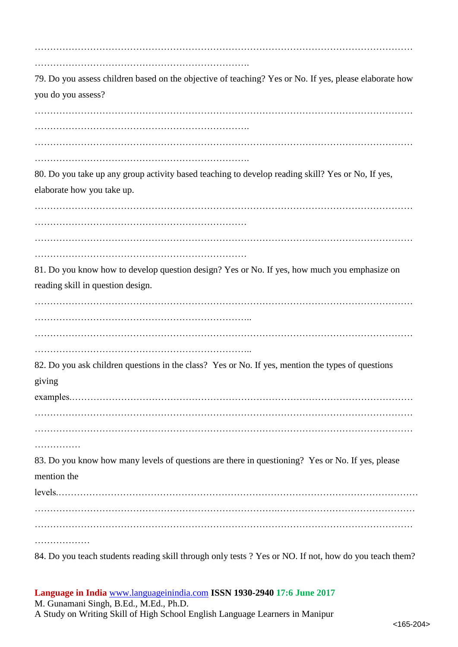| 79. Do you assess children based on the objective of teaching? Yes or No. If yes, please elaborate how<br>you do you assess?      |
|-----------------------------------------------------------------------------------------------------------------------------------|
|                                                                                                                                   |
| 80. Do you take up any group activity based teaching to develop reading skill? Yes or No, If yes,<br>elaborate how you take up.   |
|                                                                                                                                   |
| 81. Do you know how to develop question design? Yes or No. If yes, how much you emphasize on<br>reading skill in question design. |
|                                                                                                                                   |
| 82. Do you ask children questions in the class? Yes or No. If yes, mention the types of questions<br>giving                       |
| .<br>83. Do you know how many levels of questions are there in questioning? Yes or No. If yes, please<br>mention the              |
| .                                                                                                                                 |
| 84. Do you teach students reading skill through only tests ? Yes or NO. If not, how do you teach them?                            |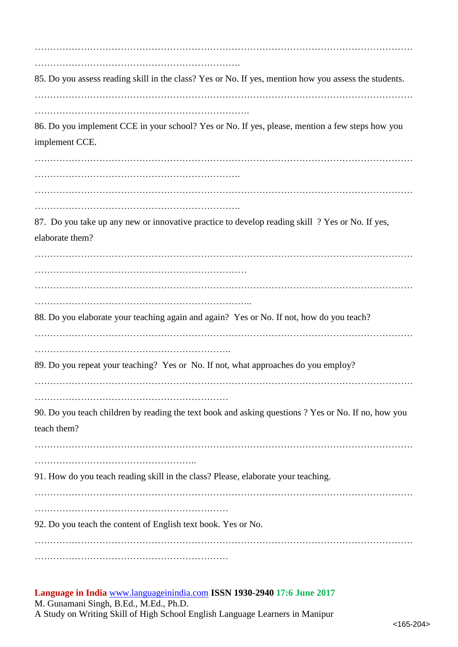…………………………………………………………………………………………………………… …………………………………………………………. 85. Do you assess reading skill in the class? Yes or No. If yes, mention how you assess the students. …………………………………………………………………………………………………………… 86. Do you implement CCE in your school? Yes or No. If yes, please, mention a few steps how you implement CCE. …………………………………………………………………………………………………………… …………………………………………………………. …………………………………………………………………………………………………………… …………………………………………………………. 87. Do you take up any new or innovative practice to develop reading skill ? Yes or No. If yes, elaborate them? …………………………………………………………………………………………………………… …………………………………………………………… …………………………………………………………………………………………………………… …………………………………………………………….. 88. Do you elaborate your teaching again and again? Yes or No. If not, how do you teach? …………………………………………………………………………………………………………… ………………………………………………………. 89. Do you repeat your teaching? Yes or No. If not, what approaches do you employ? …………………………………………………………………………………………………………… ……………………………………………………… 90. Do you teach children by reading the text book and asking questions ? Yes or No. If no, how you teach them? …………………………………………………………………………………………………………… …………………………………………….. 91. How do you teach reading skill in the class? Please, elaborate your teaching. …………………………………………………………………………………………………………… ……………………………………………………… 92. Do you teach the content of English text book. Yes or No. …………………………………………………………………………………………………………… ………………………………………………………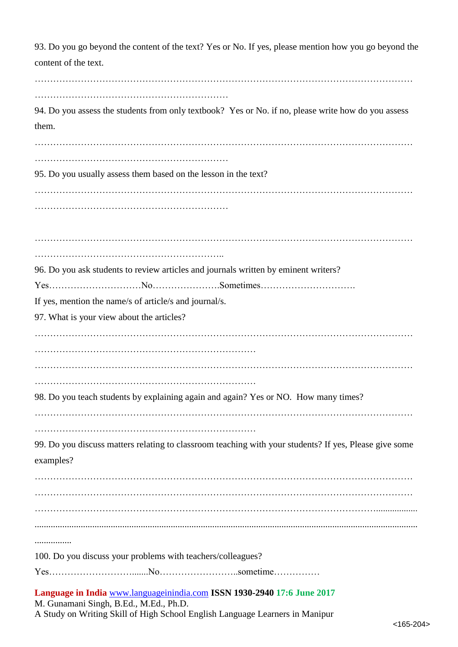**Language in India** [www.languageinindia.com](http://www.languageinindia.com/) **ISSN 1930-2940 17:6 June 2017** M. Gunamani Singh, B.Ed., M.Ed., Ph.D. 93. Do you go beyond the content of the text? Yes or No. If yes, please mention how you go beyond the content of the text. …………………………………………………………………………………………………………… ……………………………………………………… 94. Do you assess the students from only textbook? Yes or No. if no, please write how do you assess them.  $\mathcal{L}^{\text{max}}_{\text{max}}$ ……………………………………………………… 95. Do you usually assess them based on the lesson in the text? …………………………………………………………………………………………………………… ……………………………………………………… …………………………………………………………………………………………………………… …………………………………………………….. 96. Do you ask students to review articles and journals written by eminent writers? Yes…………………………No………………….Sometimes…………………………. If yes, mention the name/s of article/s and journal/s. 97. What is your view about the articles? …………………………………………………………………………………………………………… ……………………………………………………………… …………………………………………………………………………………………………………… ……………………………………………………………… 98. Do you teach students by explaining again and again? Yes or NO. How many times? …………………………………………………………………………………………………………… ……………………………………………………………… 99. Do you discuss matters relating to classroom teaching with your students? If yes, Please give some examples? …………………………………………………………………………………………………………… …………………………………………………………………………………………………………… ………………………………………………………………………………………………….................. ...................................................................................................................................................................... ................ 100. Do you discuss your problems with teachers/colleagues? Yes……………………….......No……………………..sometime……………

A Study on Writing Skill of High School English Language Learners in Manipur